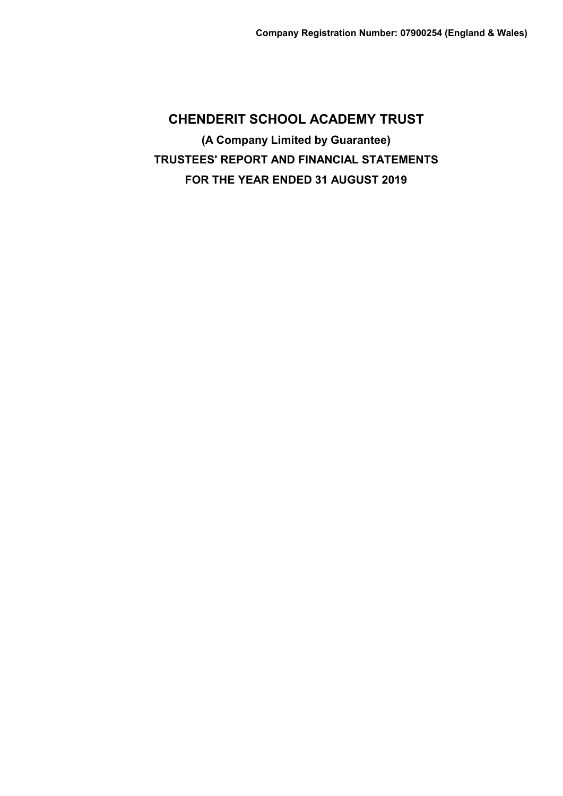**CHENDERIT SCHOOL ACADEMY TRUST (A Company Limited by Guarantee) TRUSTEES' REPORT AND FINANCIAL STATEMENTS FOR THE YEAR ENDED 31 AUGUST 2019**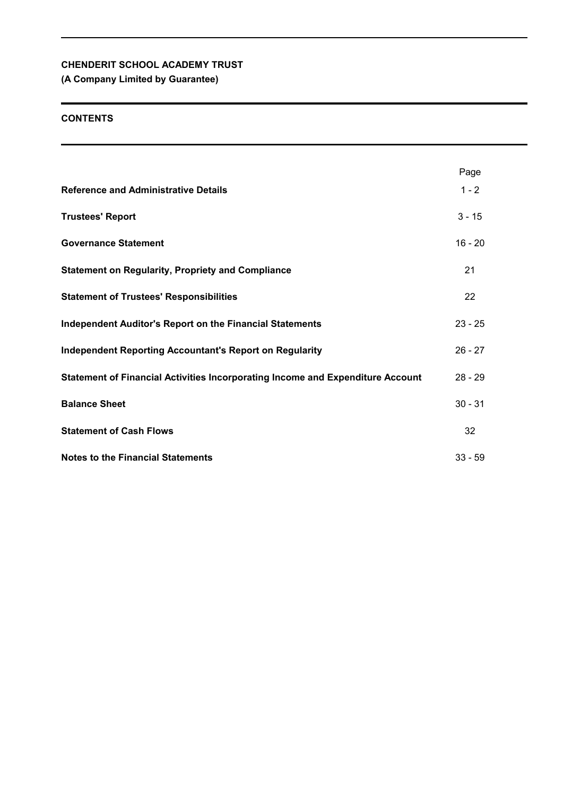## **(A Company Limited by Guarantee)**

## **CONTENTS**

|                                                                                       | Page      |
|---------------------------------------------------------------------------------------|-----------|
| <b>Reference and Administrative Details</b>                                           | $1 - 2$   |
| <b>Trustees' Report</b>                                                               | $3 - 15$  |
| <b>Governance Statement</b>                                                           | $16 - 20$ |
| <b>Statement on Regularity, Propriety and Compliance</b>                              | 21        |
| <b>Statement of Trustees' Responsibilities</b>                                        | 22        |
| <b>Independent Auditor's Report on the Financial Statements</b>                       | $23 - 25$ |
| <b>Independent Reporting Accountant's Report on Regularity</b>                        | $26 - 27$ |
| <b>Statement of Financial Activities Incorporating Income and Expenditure Account</b> | $28 - 29$ |
| <b>Balance Sheet</b>                                                                  | $30 - 31$ |
| <b>Statement of Cash Flows</b>                                                        | 32        |
| <b>Notes to the Financial Statements</b>                                              | $33 - 59$ |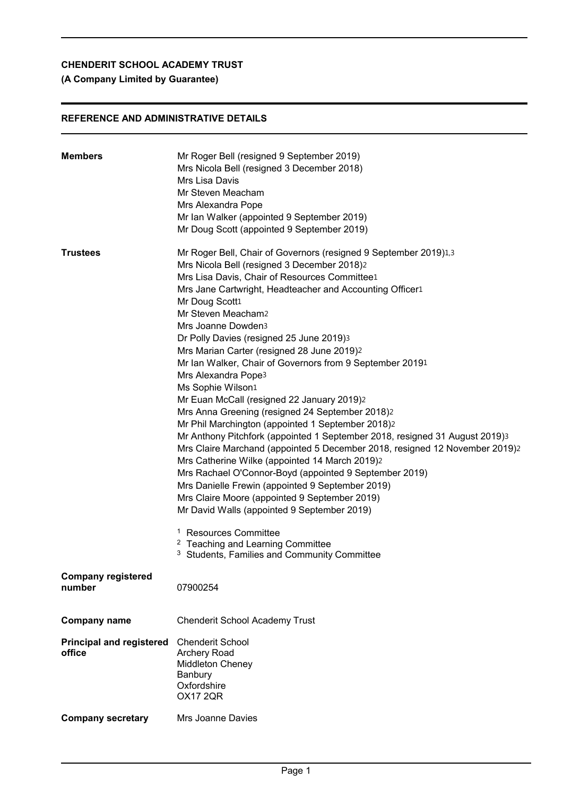## **(A Company Limited by Guarantee)**

## **REFERENCE AND ADMINISTRATIVE DETAILS**

| <b>Members</b>                            | Mr Roger Bell (resigned 9 September 2019)<br>Mrs Nicola Bell (resigned 3 December 2018)<br>Mrs Lisa Davis<br>Mr Steven Meacham<br>Mrs Alexandra Pope<br>Mr Ian Walker (appointed 9 September 2019)<br>Mr Doug Scott (appointed 9 September 2019)                                                                                                                                                                                                                                                                                                                                                                                                                                                                                                                                                                                                                                                                                                                                                                                                                                                                                                                                                                                |
|-------------------------------------------|---------------------------------------------------------------------------------------------------------------------------------------------------------------------------------------------------------------------------------------------------------------------------------------------------------------------------------------------------------------------------------------------------------------------------------------------------------------------------------------------------------------------------------------------------------------------------------------------------------------------------------------------------------------------------------------------------------------------------------------------------------------------------------------------------------------------------------------------------------------------------------------------------------------------------------------------------------------------------------------------------------------------------------------------------------------------------------------------------------------------------------------------------------------------------------------------------------------------------------|
| <b>Trustees</b>                           | Mr Roger Bell, Chair of Governors (resigned 9 September 2019)1,3<br>Mrs Nicola Bell (resigned 3 December 2018)2<br>Mrs Lisa Davis, Chair of Resources Committee1<br>Mrs Jane Cartwright, Headteacher and Accounting Officer1<br>Mr Doug Scott1<br>Mr Steven Meacham2<br>Mrs Joanne Dowden3<br>Dr Polly Davies (resigned 25 June 2019)3<br>Mrs Marian Carter (resigned 28 June 2019)2<br>Mr Ian Walker, Chair of Governors from 9 September 20191<br>Mrs Alexandra Pope3<br>Ms Sophie Wilson1<br>Mr Euan McCall (resigned 22 January 2019)2<br>Mrs Anna Greening (resigned 24 September 2018)2<br>Mr Phil Marchington (appointed 1 September 2018)2<br>Mr Anthony Pitchfork (appointed 1 September 2018, resigned 31 August 2019)3<br>Mrs Claire Marchand (appointed 5 December 2018, resigned 12 November 2019)2<br>Mrs Catherine Wilke (appointed 14 March 2019)2<br>Mrs Rachael O'Connor-Boyd (appointed 9 September 2019)<br>Mrs Danielle Frewin (appointed 9 September 2019)<br>Mrs Claire Moore (appointed 9 September 2019)<br>Mr David Walls (appointed 9 September 2019)<br><sup>1</sup> Resources Committee<br><sup>2</sup> Teaching and Learning Committee<br><sup>3</sup> Students, Families and Community Committee |
| <b>Company registered</b><br>number       | 07900254                                                                                                                                                                                                                                                                                                                                                                                                                                                                                                                                                                                                                                                                                                                                                                                                                                                                                                                                                                                                                                                                                                                                                                                                                        |
| <b>Company name</b>                       | <b>Chenderit School Academy Trust</b>                                                                                                                                                                                                                                                                                                                                                                                                                                                                                                                                                                                                                                                                                                                                                                                                                                                                                                                                                                                                                                                                                                                                                                                           |
| <b>Principal and registered</b><br>office | <b>Chenderit School</b><br><b>Archery Road</b><br><b>Middleton Cheney</b><br>Banbury<br>Oxfordshire<br><b>OX17 2QR</b>                                                                                                                                                                                                                                                                                                                                                                                                                                                                                                                                                                                                                                                                                                                                                                                                                                                                                                                                                                                                                                                                                                          |
| <b>Company secretary</b>                  | Mrs Joanne Davies                                                                                                                                                                                                                                                                                                                                                                                                                                                                                                                                                                                                                                                                                                                                                                                                                                                                                                                                                                                                                                                                                                                                                                                                               |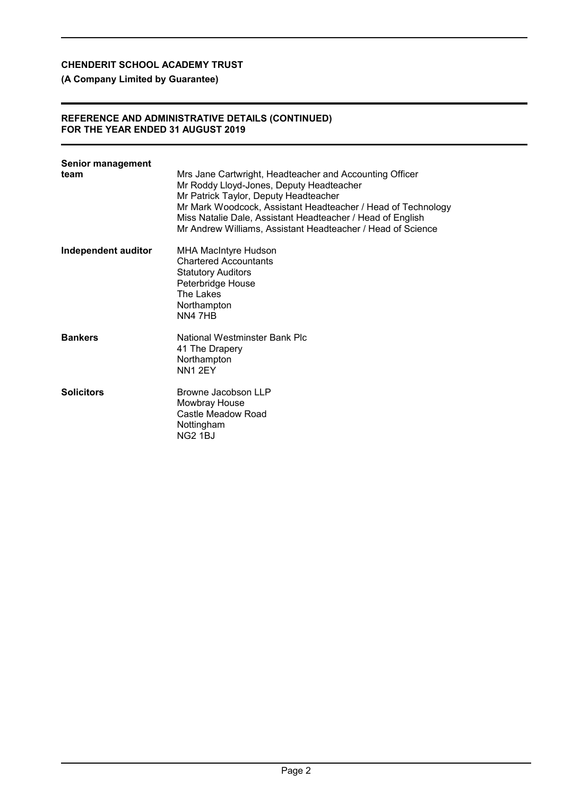## **(A Company Limited by Guarantee)**

### **REFERENCE AND ADMINISTRATIVE DETAILS (CONTINUED) FOR THE YEAR ENDED 31 AUGUST 2019**

| <b>Senior management</b><br>team | Mrs Jane Cartwright, Headteacher and Accounting Officer<br>Mr Roddy Lloyd-Jones, Deputy Headteacher<br>Mr Patrick Taylor, Deputy Headteacher<br>Mr Mark Woodcock, Assistant Headteacher / Head of Technology<br>Miss Natalie Dale, Assistant Headteacher / Head of English<br>Mr Andrew Williams, Assistant Headteacher / Head of Science |
|----------------------------------|-------------------------------------------------------------------------------------------------------------------------------------------------------------------------------------------------------------------------------------------------------------------------------------------------------------------------------------------|
| Independent auditor              | MHA MacIntyre Hudson<br><b>Chartered Accountants</b><br><b>Statutory Auditors</b><br>Peterbridge House<br>The Lakes<br>Northampton<br>NN4 7HB                                                                                                                                                                                             |
| <b>Bankers</b>                   | National Westminster Bank Plc<br>41 The Drapery<br>Northampton<br>NN <sub>1</sub> 2FY                                                                                                                                                                                                                                                     |
| <b>Solicitors</b>                | Browne Jacobson LLP<br>Mowbray House<br>Castle Meadow Road<br>Nottingham<br><b>NG2 1BJ</b>                                                                                                                                                                                                                                                |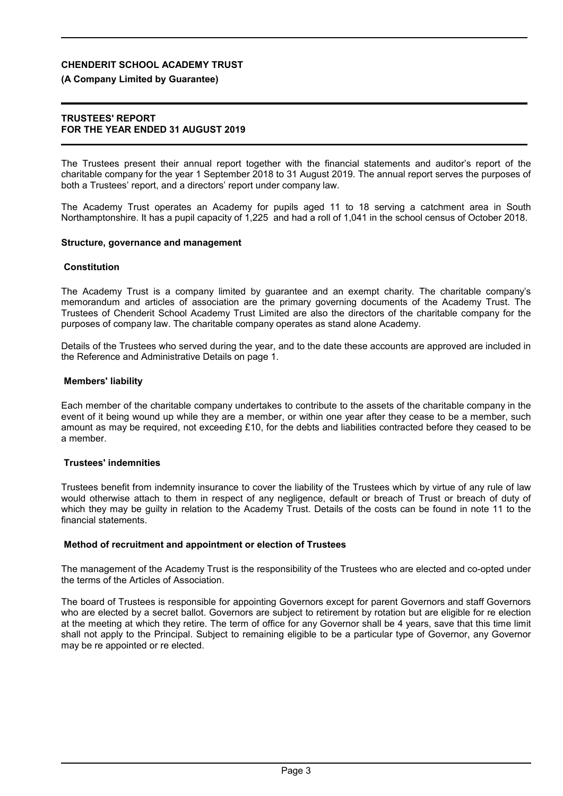### **(A Company Limited by Guarantee)**

#### **TRUSTEES' REPORT FOR THE YEAR ENDED 31 AUGUST 2019**

The Trustees present their annual report together with the financial statements and auditor's report of the charitable company for the year 1 September 2018 to 31 August 2019. The annual report serves the purposes of both a Trustees' report, and a directors' report under company law.

The Academy Trust operates an Academy for pupils aged 11 to 18 serving a catchment area in South Northamptonshire. It has a pupil capacity of 1,225 and had a roll of 1,041 in the school census of October 2018.

#### **Structure, governance and management**

#### **Constitution**

The Academy Trust is a company limited by guarantee and an exempt charity. The charitable company's memorandum and articles of association are the primary governing documents of the Academy Trust. The Trustees of Chenderit School Academy Trust Limited are also the directors of the charitable company for the purposes of company law. The charitable company operates as stand alone Academy.

Details of the Trustees who served during the year, and to the date these accounts are approved are included in the Reference and Administrative Details on page 1.

#### **Members' liability**

Each member of the charitable company undertakes to contribute to the assets of the charitable company in the event of it being wound up while they are a member, or within one year after they cease to be a member, such amount as may be required, not exceeding £10, for the debts and liabilities contracted before they ceased to be a member.

### **Trustees' indemnities**

Trustees benefit from indemnity insurance to cover the liability of the Trustees which by virtue of any rule of law would otherwise attach to them in respect of any negligence, default or breach of Trust or breach of duty of which they may be guilty in relation to the Academy Trust. Details of the costs can be found in note 11 to the financial statements.

### **Method of recruitment and appointment or election of Trustees**

The management of the Academy Trust is the responsibility of the Trustees who are elected and co-opted under the terms of the Articles of Association.

The board of Trustees is responsible for appointing Governors except for parent Governors and staff Governors who are elected by a secret ballot. Governors are subject to retirement by rotation but are eligible for re election at the meeting at which they retire. The term of office for any Governor shall be 4 years, save that this time limit shall not apply to the Principal. Subject to remaining eligible to be a particular type of Governor, any Governor may be re appointed or re elected.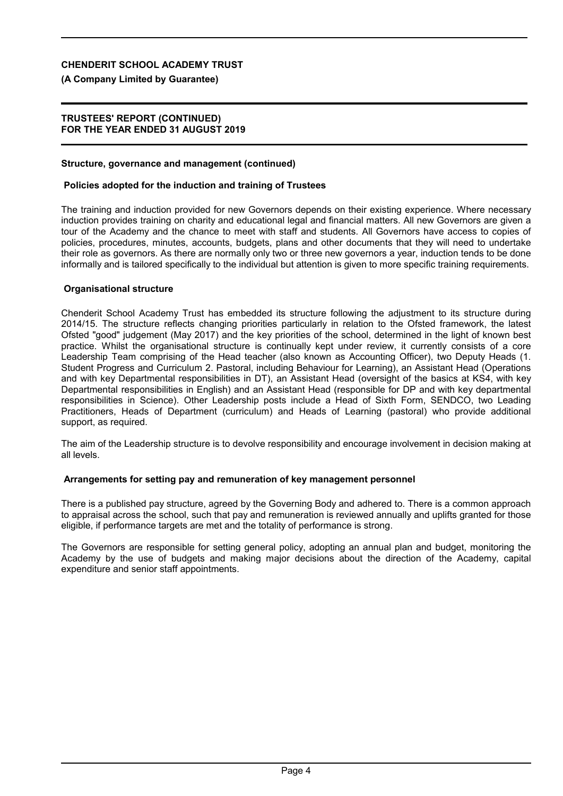#### **(A Company Limited by Guarantee)**

### **TRUSTEES' REPORT (CONTINUED) FOR THE YEAR ENDED 31 AUGUST 2019**

#### **Structure, governance and management (continued)**

#### **Policies adopted for the induction and training of Trustees**

The training and induction provided for new Governors depends on their existing experience. Where necessary induction provides training on charity and educational legal and financial matters. All new Governors are given a tour of the Academy and the chance to meet with staff and students. All Governors have access to copies of policies, procedures, minutes, accounts, budgets, plans and other documents that they will need to undertake their role as governors. As there are normally only two or three new governors a year, induction tends to be done informally and is tailored specifically to the individual but attention is given to more specific training requirements.

#### **Organisational structure**

Chenderit School Academy Trust has embedded its structure following the adjustment to its structure during 2014/15. The structure reflects changing priorities particularly in relation to the Ofsted framework, the latest Ofsted "good" judgement (May 2017) and the key priorities of the school, determined in the light of known best practice. Whilst the organisational structure is continually kept under review, it currently consists of a core Leadership Team comprising of the Head teacher (also known as Accounting Officer), two Deputy Heads (1. Student Progress and Curriculum 2. Pastoral, including Behaviour for Learning), an Assistant Head (Operations and with key Departmental responsibilities in DT), an Assistant Head (oversight of the basics at KS4, with key Departmental responsibilities in English) and an Assistant Head (responsible for DP and with key departmental responsibilities in Science). Other Leadership posts include a Head of Sixth Form, SENDCO, two Leading Practitioners, Heads of Department (curriculum) and Heads of Learning (pastoral) who provide additional support, as required.

The aim of the Leadership structure is to devolve responsibility and encourage involvement in decision making at all levels.

#### **Arrangements for setting pay and remuneration of key management personnel**

There is a published pay structure, agreed by the Governing Body and adhered to. There is a common approach to appraisal across the school, such that pay and remuneration is reviewed annually and uplifts granted for those eligible, if performance targets are met and the totality of performance is strong.

The Governors are responsible for setting general policy, adopting an annual plan and budget, monitoring the Academy by the use of budgets and making major decisions about the direction of the Academy, capital expenditure and senior staff appointments.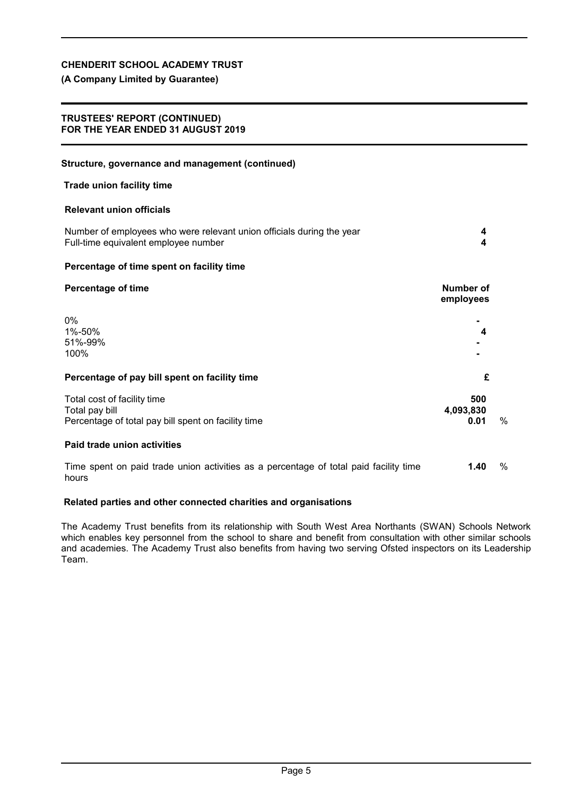### **(A Company Limited by Guarantee)**

### **TRUSTEES' REPORT (CONTINUED) FOR THE YEAR ENDED 31 AUGUST 2019**

| Structure, governance and management (continued)                                                              |                          |      |
|---------------------------------------------------------------------------------------------------------------|--------------------------|------|
| Trade union facility time                                                                                     |                          |      |
| <b>Relevant union officials</b>                                                                               |                          |      |
| Number of employees who were relevant union officials during the year<br>Full-time equivalent employee number | 4<br>4                   |      |
| Percentage of time spent on facility time                                                                     |                          |      |
| <b>Percentage of time</b>                                                                                     | Number of<br>employees   |      |
| $0\%$<br>1%-50%<br>51%-99%<br>100%                                                                            | 4                        |      |
| Percentage of pay bill spent on facility time                                                                 | £                        |      |
| Total cost of facility time<br>Total pay bill<br>Percentage of total pay bill spent on facility time          | 500<br>4,093,830<br>0.01 | $\%$ |
| Paid trade union activities                                                                                   |                          |      |
| Time spent on paid trade union activities as a percentage of total paid facility time<br>hours                | 1.40                     | $\%$ |

### **Related parties and other connected charities and organisations**

The Academy Trust benefits from its relationship with South West Area Northants (SWAN) Schools Network which enables key personnel from the school to share and benefit from consultation with other similar schools and academies. The Academy Trust also benefits from having two serving Ofsted inspectors on its Leadership Team.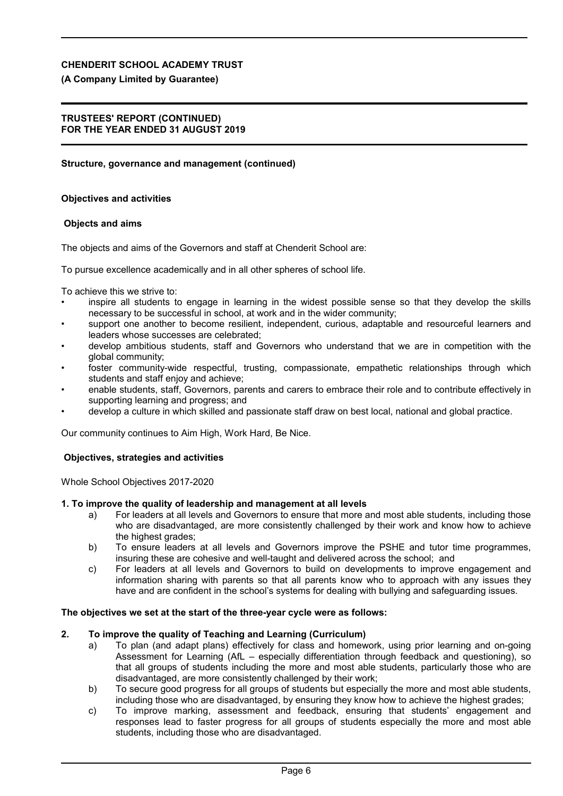### **(A Company Limited by Guarantee)**

### **TRUSTEES' REPORT (CONTINUED) FOR THE YEAR ENDED 31 AUGUST 2019**

### **Structure, governance and management (continued)**

#### **Objectives and activities**

#### **Objects and aims**

The objects and aims of the Governors and staff at Chenderit School are:

To pursue excellence academically and in all other spheres of school life.

To achieve this we strive to:

- inspire all students to engage in learning in the widest possible sense so that they develop the skills necessary to be successful in school, at work and in the wider community;
- support one another to become resilient, independent, curious, adaptable and resourceful learners and leaders whose successes are celebrated;
- develop ambitious students, staff and Governors who understand that we are in competition with the global community;
- foster community-wide respectful, trusting, compassionate, empathetic relationships through which students and staff enjoy and achieve;
- enable students, staff, Governors, parents and carers to embrace their role and to contribute effectively in supporting learning and progress; and
- develop a culture in which skilled and passionate staff draw on best local, national and global practice.

Our community continues to Aim High, Work Hard, Be Nice.

### **Objectives, strategies and activities**

Whole School Objectives 2017-2020

#### **1. To improve the quality of leadership and management at all levels**

- a) For leaders at all levels and Governors to ensure that more and most able students, including those who are disadvantaged, are more consistently challenged by their work and know how to achieve the highest grades;
- b) To ensure leaders at all levels and Governors improve the PSHE and tutor time programmes, insuring these are cohesive and well-taught and delivered across the school; and
- c) For leaders at all levels and Governors to build on developments to improve engagement and information sharing with parents so that all parents know who to approach with any issues they have and are confident in the school's systems for dealing with bullying and safeguarding issues.

#### **The objectives we set at the start of the three-year cycle were as follows:**

### **2. To improve the quality of Teaching and Learning (Curriculum)**

- a) To plan (and adapt plans) effectively for class and homework, using prior learning and on-going Assessment for Learning (AfL – especially differentiation through feedback and questioning), so that all groups of students including the more and most able students, particularly those who are disadvantaged, are more consistently challenged by their work;
- b) To secure good progress for all groups of students but especially the more and most able students, including those who are disadvantaged, by ensuring they know how to achieve the highest grades;
- c) To improve marking, assessment and feedback, ensuring that students' engagement and responses lead to faster progress for all groups of students especially the more and most able students, including those who are disadvantaged.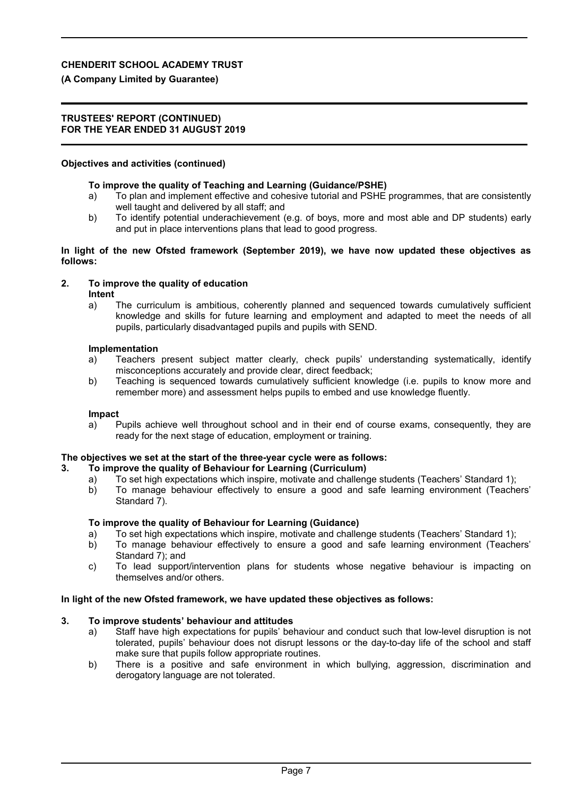### **(A Company Limited by Guarantee)**

#### **TRUSTEES' REPORT (CONTINUED) FOR THE YEAR ENDED 31 AUGUST 2019**

#### **Objectives and activities (continued)**

#### **To improve the quality of Teaching and Learning (Guidance/PSHE)**

- a) To plan and implement effective and cohesive tutorial and PSHE programmes, that are consistently well taught and delivered by all staff; and
- b) To identify potential underachievement (e.g. of boys, more and most able and DP students) early and put in place interventions plans that lead to good progress.

#### **In light of the new Ofsted framework (September 2019), we have now updated these objectives as follows:**

### **2. To improve the quality of education**

#### **Intent**

a) The curriculum is ambitious, coherently planned and sequenced towards cumulatively sufficient knowledge and skills for future learning and employment and adapted to meet the needs of all pupils, particularly disadvantaged pupils and pupils with SEND.

#### **Implementation**

- a) Teachers present subject matter clearly, check pupils' understanding systematically, identify misconceptions accurately and provide clear, direct feedback;
- b) Teaching is sequenced towards cumulatively sufficient knowledge (i.e. pupils to know more and remember more) and assessment helps pupils to embed and use knowledge fluently.

#### **Impact**

a) Pupils achieve well throughout school and in their end of course exams, consequently, they are ready for the next stage of education, employment or training.

### **The objectives we set at the start of the three-year cycle were as follows:**

### **3. To improve the quality of Behaviour for Learning (Curriculum)**

- a) To set high expectations which inspire, motivate and challenge students (Teachers' Standard 1);
- b) To manage behaviour effectively to ensure a good and safe learning environment (Teachers' Standard 7).

### **To improve the quality of Behaviour for Learning (Guidance)**

- a) To set high expectations which inspire, motivate and challenge students (Teachers' Standard 1);
- b) To manage behaviour effectively to ensure a good and safe learning environment (Teachers' Standard 7); and
- c) To lead support/intervention plans for students whose negative behaviour is impacting on themselves and/or others.

#### **In light of the new Ofsted framework, we have updated these objectives as follows:**

### **3. To improve students' behaviour and attitudes**

- a) Staff have high expectations for pupils' behaviour and conduct such that low-level disruption is not tolerated, pupils' behaviour does not disrupt lessons or the day-to-day life of the school and staff make sure that pupils follow appropriate routines.
- b) There is a positive and safe environment in which bullying, aggression, discrimination and derogatory language are not tolerated.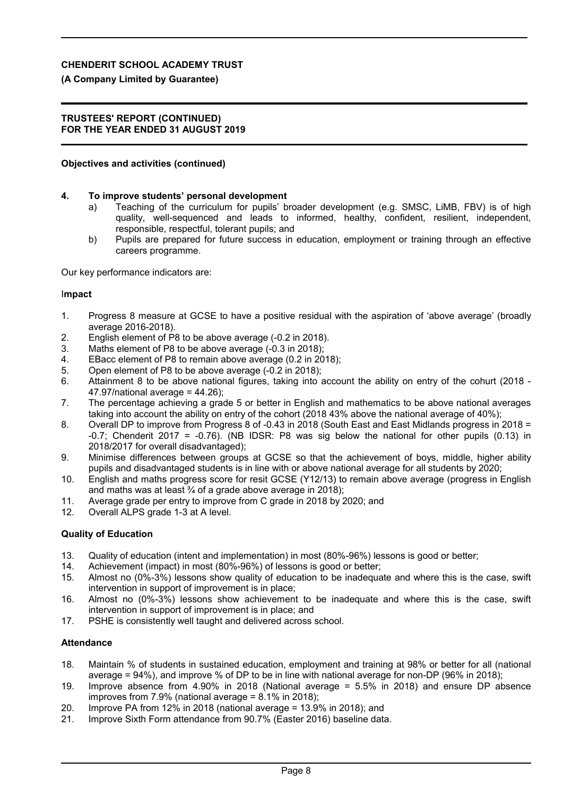### **(A Company Limited by Guarantee)**

### **TRUSTEES' REPORT (CONTINUED) FOR THE YEAR ENDED 31 AUGUST 2019**

### **Objectives and activities (continued)**

### **4. To improve students' personal development**

- a) Teaching of the curriculum for pupils' broader development (e.g. SMSC, LiMB, FBV) is of high quality, well-sequenced and leads to informed, healthy, confident, resilient, independent, responsible, respectful, tolerant pupils; and
- b) Pupils are prepared for future success in education, employment or training through an effective careers programme.

Our key performance indicators are:

#### I**mpact**

- 1. Progress 8 measure at GCSE to have a positive residual with the aspiration of 'above average' (broadly average 2016-2018).
- 2. English element of P8 to be above average (-0.2 in 2018).
- 3. Maths element of P8 to be above average (-0.3 in 2018);
- 4. EBacc element of P8 to remain above average (0.2 in 2018);
- 5. Open element of P8 to be above average (-0.2 in 2018);
- 6. Attainment 8 to be above national figures, taking into account the ability on entry of the cohurt (2018 47.97/national average = 44.26);
- 7. The percentage achieving a grade 5 or better in English and mathematics to be above national averages taking into account the ability on entry of the cohort (2018 43% above the national average of 40%);
- 8. Overall DP to improve from Progress 8 of -0.43 in 2018 (South East and East Midlands progress in 2018 =  $-0.7$ ; Chenderit 2017 =  $-0.76$ ). (NB IDSR: P8 was sig below the national for other pupils (0.13) in 2018/2017 for overall disadvantaged);
- 9. Minimise differences between groups at GCSE so that the achievement of boys, middle, higher ability pupils and disadvantaged students is in line with or above national average for all students by 2020;
- 10. English and maths progress score for resit GCSE (Y12/13) to remain above average (progress in English and maths was at least  $\frac{3}{4}$  of a grade above average in 2018);
- 11. Average grade per entry to improve from C grade in 2018 by 2020; and
- 12. Overall ALPS grade 1-3 at A level.

### **Quality of Education**

- 13. Quality of education (intent and implementation) in most (80%-96%) lessons is good or better;
- 14. Achievement (impact) in most (80%-96%) of lessons is good or better;<br>15. Almost no (0%-3%) lessons show quality of education to be inadequa
- Almost no (0%-3%) lessons show quality of education to be inadequate and where this is the case, swift intervention in support of improvement is in place;
- 16. Almost no (0%-3%) lessons show achievement to be inadequate and where this is the case, swift intervention in support of improvement is in place; and
- 17. PSHE is consistently well taught and delivered across school.

### **Attendance**

- 18. Maintain % of students in sustained education, employment and training at 98% or better for all (national average = 94%), and improve % of DP to be in line with national average for non-DP (96% in 2018);
- 19. Improve absence from 4.90% in 2018 (National average = 5.5% in 2018) and ensure DP absence improves from 7.9% (national average = 8.1% in 2018);
- 20. Improve PA from 12% in 2018 (national average = 13.9% in 2018); and
- 21. Improve Sixth Form attendance from 90.7% (Easter 2016) baseline data.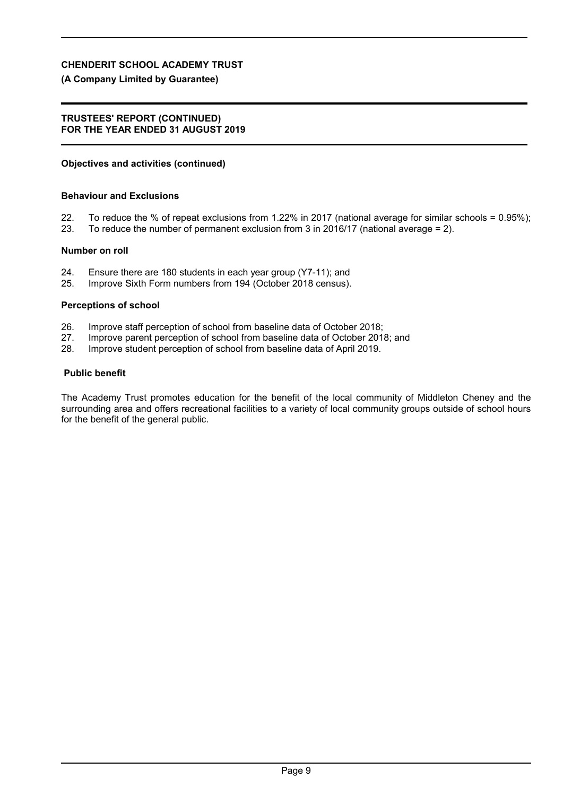## **(A Company Limited by Guarantee)**

### **TRUSTEES' REPORT (CONTINUED) FOR THE YEAR ENDED 31 AUGUST 2019**

## **Objectives and activities (continued)**

## **Behaviour and Exclusions**

- 22. To reduce the % of repeat exclusions from 1.22% in 2017 (national average for similar schools = 0.95%);
- 23. To reduce the number of permanent exclusion from 3 in 2016/17 (national average = 2).

## **Number on roll**

- 24. Ensure there are 180 students in each year group (Y7-11); and
- 25. Improve Sixth Form numbers from 194 (October 2018 census).

## **Perceptions of school**

- 26. Improve staff perception of school from baseline data of October 2018;
- 27. Improve parent perception of school from baseline data of October 2018; and<br>28. Improve student perception of school from baseline data of April 2019
- Improve student perception of school from baseline data of April 2019.

## **Public benefit**

The Academy Trust promotes education for the benefit of the local community of Middleton Cheney and the surrounding area and offers recreational facilities to a variety of local community groups outside of school hours for the benefit of the general public.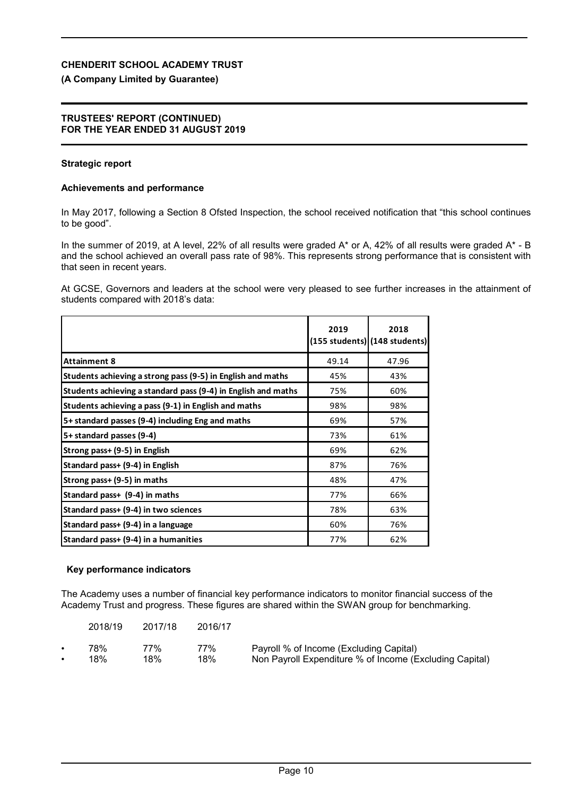### **(A Company Limited by Guarantee)**

#### **TRUSTEES' REPORT (CONTINUED) FOR THE YEAR ENDED 31 AUGUST 2019**

### **Strategic report**

#### **Achievements and performance**

In May 2017, following a Section 8 Ofsted Inspection, the school received notification that "this school continues to be good".

In the summer of 2019, at A level, 22% of all results were graded A\* or A, 42% of all results were graded A\* - B and the school achieved an overall pass rate of 98%. This represents strong performance that is consistent with that seen in recent years.

At GCSE, Governors and leaders at the school were very pleased to see further increases in the attainment of students compared with 2018's data:

|                                                               | 2019  | 2018<br>(155 students) (148 students) |
|---------------------------------------------------------------|-------|---------------------------------------|
| <b>Attainment 8</b>                                           | 49.14 | 47.96                                 |
| Students achieving a strong pass (9-5) in English and maths   | 45%   | 43%                                   |
| Students achieving a standard pass (9-4) in English and maths | 75%   | 60%                                   |
| Students achieving a pass (9-1) in English and maths          | 98%   | 98%                                   |
| 5+ standard passes (9-4) including Eng and maths              | 69%   | 57%                                   |
| 5+ standard passes (9-4)                                      | 73%   | 61%                                   |
| Strong pass+ (9-5) in English                                 | 69%   | 62%                                   |
| Standard pass+ (9-4) in English                               | 87%   | 76%                                   |
| Strong pass+ (9-5) in maths                                   | 48%   | 47%                                   |
| Standard pass+ (9-4) in maths                                 | 77%   | 66%                                   |
| Standard pass+ (9-4) in two sciences                          | 78%   | 63%                                   |
| Standard pass+ (9-4) in a language                            | 60%   | 76%                                   |
| Standard pass+ (9-4) in a humanities                          | 77%   | 62%                                   |

### **Key performance indicators**

The Academy uses a number of financial key performance indicators to monitor financial success of the Academy Trust and progress. These figures are shared within the SWAN group for benchmarking.

| 2018/19 | 2017/18 | 2016/17 |                                                         |
|---------|---------|---------|---------------------------------------------------------|
| 78%     | 77%     | 77%     | Payroll % of Income (Excluding Capital)                 |
| 18%     | 18%     | 18%     | Non Payroll Expenditure % of Income (Excluding Capital) |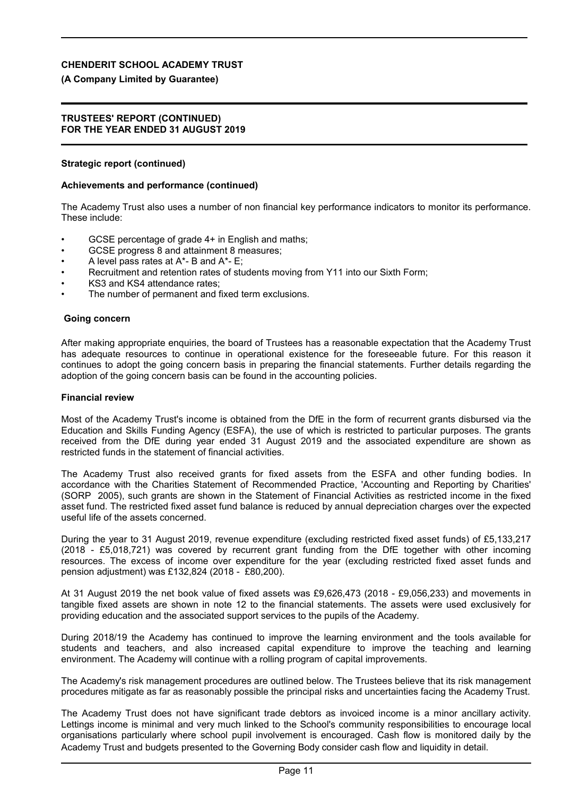### **(A Company Limited by Guarantee)**

#### **TRUSTEES' REPORT (CONTINUED) FOR THE YEAR ENDED 31 AUGUST 2019**

### **Strategic report (continued)**

### **Achievements and performance (continued)**

The Academy Trust also uses a number of non financial key performance indicators to monitor its performance. These include:

- GCSE percentage of grade 4+ in English and maths;
- GCSE progress 8 and attainment 8 measures;
- A level pass rates at  $A^*$  B and  $A^*$  E;
- Recruitment and retention rates of students moving from Y11 into our Sixth Form;
- KS3 and KS4 attendance rates:
- The number of permanent and fixed term exclusions.

### **Going concern**

After making appropriate enquiries, the board of Trustees has a reasonable expectation that the Academy Trust has adequate resources to continue in operational existence for the foreseeable future. For this reason it continues to adopt the going concern basis in preparing the financial statements. Further details regarding the adoption of the going concern basis can be found in the accounting policies.

#### **Financial review**

Most of the Academy Trust's income is obtained from the DfE in the form of recurrent grants disbursed via the Education and Skills Funding Agency (ESFA), the use of which is restricted to particular purposes. The grants received from the DfE during year ended 31 August 2019 and the associated expenditure are shown as restricted funds in the statement of financial activities.

The Academy Trust also received grants for fixed assets from the ESFA and other funding bodies. In accordance with the Charities Statement of Recommended Practice, 'Accounting and Reporting by Charities' (SORP 2005), such grants are shown in the Statement of Financial Activities as restricted income in the fixed asset fund. The restricted fixed asset fund balance is reduced by annual depreciation charges over the expected useful life of the assets concerned.

During the year to 31 August 2019, revenue expenditure (excluding restricted fixed asset funds) of £5,133,217 (2018 - £5,018,721) was covered by recurrent grant funding from the DfE together with other incoming resources. The excess of income over expenditure for the year (excluding restricted fixed asset funds and pension adjustment) was £132,824 (2018 - £80,200).

At 31 August 2019 the net book value of fixed assets was £9,626,473 (2018 - £9,056,233) and movements in tangible fixed assets are shown in note 12 to the financial statements. The assets were used exclusively for providing education and the associated support services to the pupils of the Academy.

During 2018/19 the Academy has continued to improve the learning environment and the tools available for students and teachers, and also increased capital expenditure to improve the teaching and learning environment. The Academy will continue with a rolling program of capital improvements.

The Academy's risk management procedures are outlined below. The Trustees believe that its risk management procedures mitigate as far as reasonably possible the principal risks and uncertainties facing the Academy Trust.

The Academy Trust does not have significant trade debtors as invoiced income is a minor ancillary activity. Lettings income is minimal and very much linked to the School's community responsibilities to encourage local organisations particularly where school pupil involvement is encouraged. Cash flow is monitored daily by the Academy Trust and budgets presented to the Governing Body consider cash flow and liquidity in detail.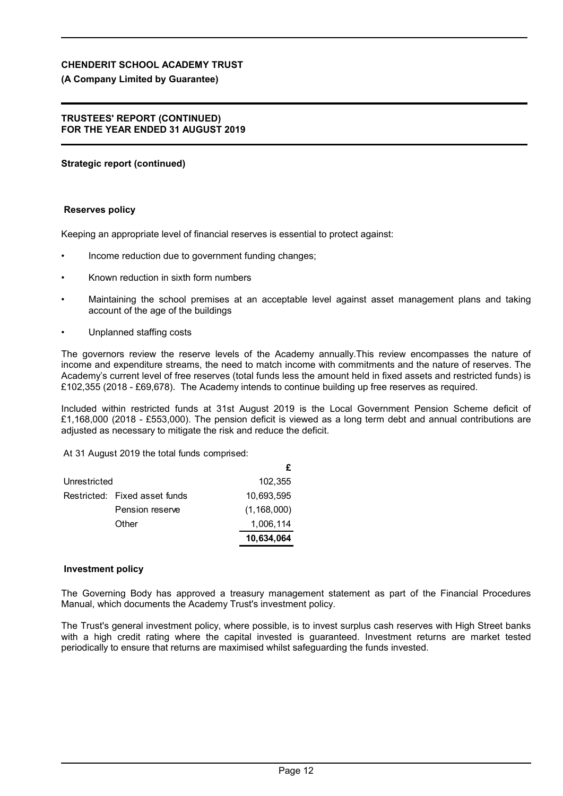## **(A Company Limited by Guarantee)**

### **TRUSTEES' REPORT (CONTINUED) FOR THE YEAR ENDED 31 AUGUST 2019**

## **Strategic report (continued)**

## **Reserves policy**

Keeping an appropriate level of financial reserves is essential to protect against:

- Income reduction due to government funding changes;
- Known reduction in sixth form numbers
- Maintaining the school premises at an acceptable level against asset management plans and taking account of the age of the buildings
- Unplanned staffing costs

The governors review the reserve levels of the Academy annually.This review encompasses the nature of income and expenditure streams, the need to match income with commitments and the nature of reserves. The Academy's current level of free reserves (total funds less the amount held in fixed assets and restricted funds) is £102,355 (2018 - £69,678). The Academy intends to continue building up free reserves as required.

Included within restricted funds at 31st August 2019 is the Local Government Pension Scheme deficit of £1,168,000 (2018 - £553,000). The pension deficit is viewed as a long term debt and annual contributions are adjusted as necessary to mitigate the risk and reduce the deficit.

At 31 August 2019 the total funds comprised:

|              |                               | 10,634,064    |
|--------------|-------------------------------|---------------|
|              | Other                         | 1,006,114     |
|              | Pension reserve               | (1, 168, 000) |
|              | Restricted: Fixed asset funds | 10,693,595    |
| Unrestricted |                               | 102,355       |
|              |                               |               |

## **Investment policy**

The Governing Body has approved a treasury management statement as part of the Financial Procedures Manual, which documents the Academy Trust's investment policy.

The Trust's general investment policy, where possible, is to invest surplus cash reserves with High Street banks with a high credit rating where the capital invested is guaranteed. Investment returns are market tested periodically to ensure that returns are maximised whilst safeguarding the funds invested.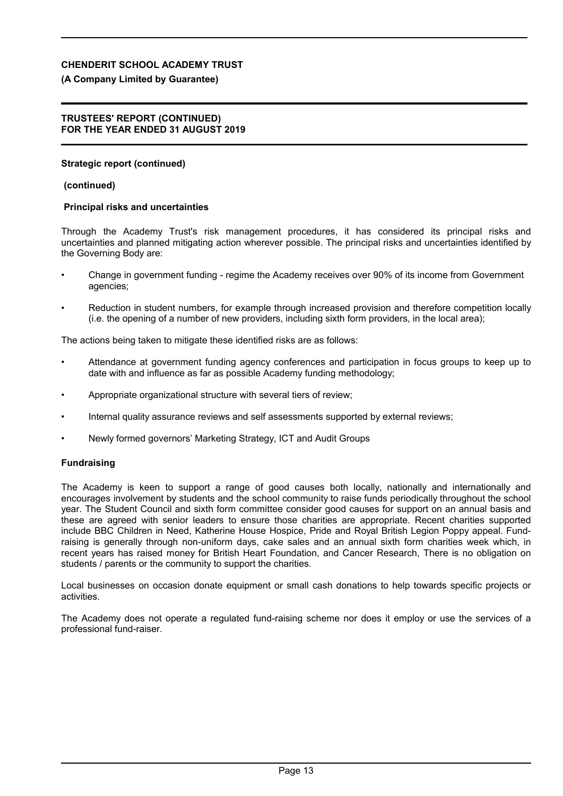### **(A Company Limited by Guarantee)**

#### **TRUSTEES' REPORT (CONTINUED) FOR THE YEAR ENDED 31 AUGUST 2019**

#### **Strategic report (continued)**

#### **(continued)**

#### **Principal risks and uncertainties**

Through the Academy Trust's risk management procedures, it has considered its principal risks and uncertainties and planned mitigating action wherever possible. The principal risks and uncertainties identified by the Governing Body are:

- Change in government funding regime the Academy receives over 90% of its income from Government agencies;
- Reduction in student numbers, for example through increased provision and therefore competition locally (i.e. the opening of a number of new providers, including sixth form providers, in the local area);

The actions being taken to mitigate these identified risks are as follows:

- Attendance at government funding agency conferences and participation in focus groups to keep up to date with and influence as far as possible Academy funding methodology;
- Appropriate organizational structure with several tiers of review;
- Internal quality assurance reviews and self assessments supported by external reviews;
- Newly formed governors' Marketing Strategy, ICT and Audit Groups

### **Fundraising**

The Academy is keen to support a range of good causes both locally, nationally and internationally and encourages involvement by students and the school community to raise funds periodically throughout the school year. The Student Council and sixth form committee consider good causes for support on an annual basis and these are agreed with senior leaders to ensure those charities are appropriate. Recent charities supported include BBC Children in Need, Katherine House Hospice, Pride and Royal British Legion Poppy appeal. Fundraising is generally through non-uniform days, cake sales and an annual sixth form charities week which, in recent years has raised money for British Heart Foundation, and Cancer Research, There is no obligation on students / parents or the community to support the charities.

Local businesses on occasion donate equipment or small cash donations to help towards specific projects or activities.

The Academy does not operate a regulated fund-raising scheme nor does it employ or use the services of a professional fund-raiser.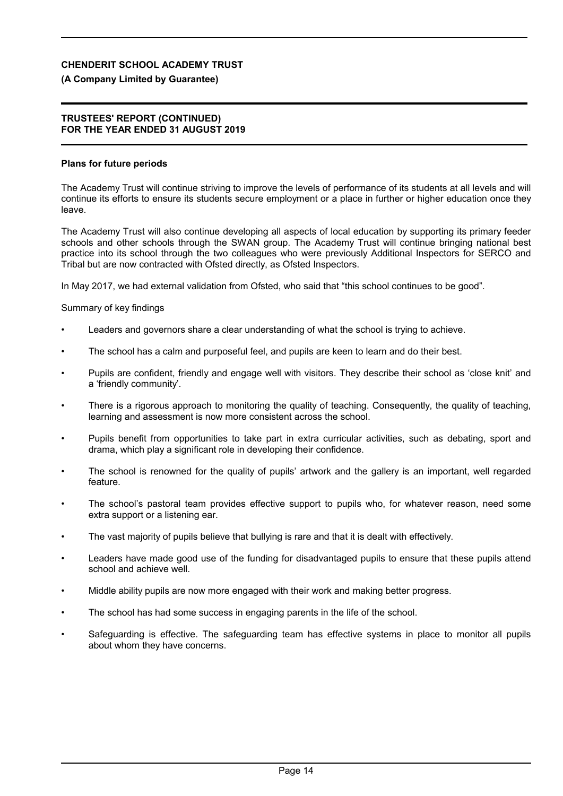### **(A Company Limited by Guarantee)**

#### **TRUSTEES' REPORT (CONTINUED) FOR THE YEAR ENDED 31 AUGUST 2019**

#### **Plans for future periods**

The Academy Trust will continue striving to improve the levels of performance of its students at all levels and will continue its efforts to ensure its students secure employment or a place in further or higher education once they leave.

The Academy Trust will also continue developing all aspects of local education by supporting its primary feeder schools and other schools through the SWAN group. The Academy Trust will continue bringing national best practice into its school through the two colleagues who were previously Additional Inspectors for SERCO and Tribal but are now contracted with Ofsted directly, as Ofsted Inspectors.

In May 2017, we had external validation from Ofsted, who said that "this school continues to be good".

#### Summary of key findings

- Leaders and governors share a clear understanding of what the school is trying to achieve.
- The school has a calm and purposeful feel, and pupils are keen to learn and do their best.
- Pupils are confident, friendly and engage well with visitors. They describe their school as 'close knit' and a 'friendly community'.
- There is a rigorous approach to monitoring the quality of teaching. Consequently, the quality of teaching, learning and assessment is now more consistent across the school.
- Pupils benefit from opportunities to take part in extra curricular activities, such as debating, sport and drama, which play a significant role in developing their confidence.
- The school is renowned for the quality of pupils' artwork and the gallery is an important, well regarded feature.
- The school's pastoral team provides effective support to pupils who, for whatever reason, need some extra support or a listening ear.
- The vast majority of pupils believe that bullying is rare and that it is dealt with effectively.
- Leaders have made good use of the funding for disadvantaged pupils to ensure that these pupils attend school and achieve well.
- Middle ability pupils are now more engaged with their work and making better progress.
- The school has had some success in engaging parents in the life of the school.
- Safeguarding is effective. The safeguarding team has effective systems in place to monitor all pupils about whom they have concerns.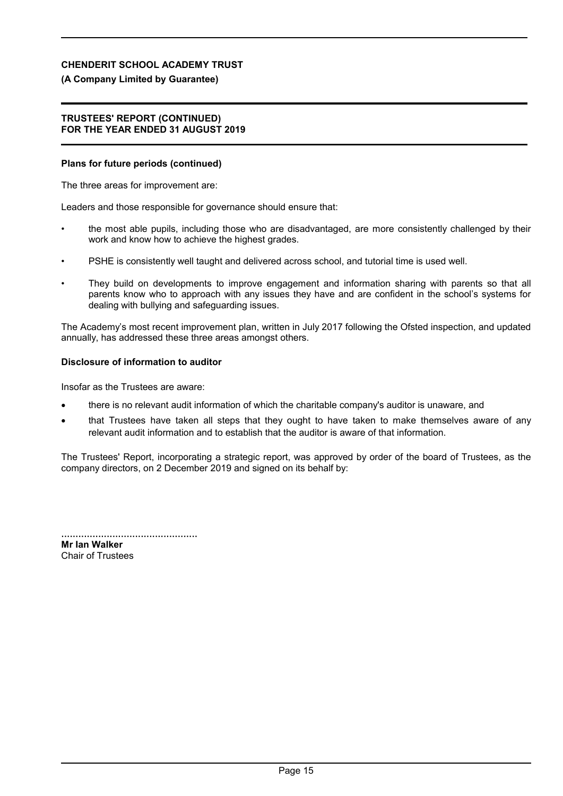### **(A Company Limited by Guarantee)**

#### **TRUSTEES' REPORT (CONTINUED) FOR THE YEAR ENDED 31 AUGUST 2019**

#### **Plans for future periods (continued)**

The three areas for improvement are:

Leaders and those responsible for governance should ensure that:

- the most able pupils, including those who are disadvantaged, are more consistently challenged by their work and know how to achieve the highest grades.
- PSHE is consistently well taught and delivered across school, and tutorial time is used well.
- They build on developments to improve engagement and information sharing with parents so that all parents know who to approach with any issues they have and are confident in the school's systems for dealing with bullying and safeguarding issues.

The Academy's most recent improvement plan, written in July 2017 following the Ofsted inspection, and updated annually, has addressed these three areas amongst others.

### **Disclosure of information to auditor**

Insofar as the Trustees are aware:

- there is no relevant audit information of which the charitable company's auditor is unaware, and
- that Trustees have taken all steps that they ought to have taken to make themselves aware of any relevant audit information and to establish that the auditor is aware of that information.

The Trustees' Report, incorporating a strategic report, was approved by order of the board of Trustees, as the company directors, on 2 December 2019 and signed on its behalf by:

................................................ **Mr Ian Walker** Chair of Trustees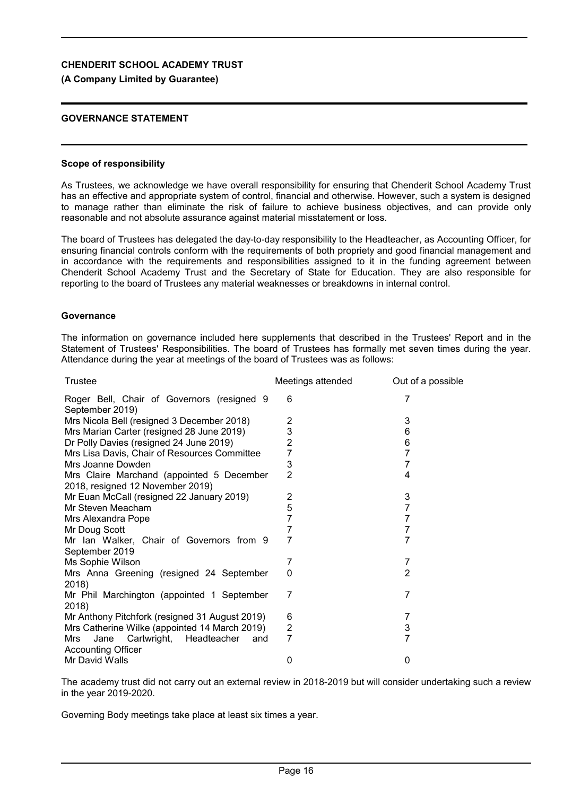## **(A Company Limited by Guarantee)**

## **GOVERNANCE STATEMENT**

### **Scope of responsibility**

As Trustees, we acknowledge we have overall responsibility for ensuring that Chenderit School Academy Trust has an effective and appropriate system of control, financial and otherwise. However, such a system is designed to manage rather than eliminate the risk of failure to achieve business objectives, and can provide only reasonable and not absolute assurance against material misstatement or loss.

The board of Trustees has delegated the day-to-day responsibility to the Headteacher, as Accounting Officer, for ensuring financial controls conform with the requirements of both propriety and good financial management and in accordance with the requirements and responsibilities assigned to it in the funding agreement between Chenderit School Academy Trust and the Secretary of State for Education. They are also responsible for reporting to the board of Trustees any material weaknesses or breakdowns in internal control.

#### **Governance**

The information on governance included here supplements that described in the Trustees' Report and in the Statement of Trustees' Responsibilities. The board of Trustees has formally met seven times during the year. Attendance during the year at meetings of the board of Trustees was as follows:

| <b>Trustee</b>                                                | Meetings attended | Out of a possible |
|---------------------------------------------------------------|-------------------|-------------------|
| Roger Bell, Chair of Governors (resigned 9<br>September 2019) | 6                 | 7                 |
| Mrs Nicola Bell (resigned 3 December 2018)                    | 2                 | 3                 |
| Mrs Marian Carter (resigned 28 June 2019)                     | 3                 | 6                 |
| Dr Polly Davies (resigned 24 June 2019)                       | 2                 | 6                 |
| Mrs Lisa Davis, Chair of Resources Committee                  | 7                 | 7                 |
| Mrs Joanne Dowden                                             | 3                 | $\overline{7}$    |
| Mrs Claire Marchand (appointed 5 December                     | $\overline{2}$    | 4                 |
| 2018, resigned 12 November 2019)                              |                   |                   |
| Mr Euan McCall (resigned 22 January 2019)                     | 2                 | 3                 |
| Mr Steven Meacham                                             | 5                 | 7                 |
| Mrs Alexandra Pope                                            | 7                 | 7                 |
| Mr Doug Scott                                                 | 7                 | $\overline{7}$    |
| Mr Ian Walker, Chair of Governors from 9<br>September 2019    | $\overline{7}$    | 7                 |
| Ms Sophie Wilson                                              | 7                 | 7                 |
| Mrs Anna Greening (resigned 24 September                      | 0                 | $\overline{2}$    |
| 2018)                                                         |                   |                   |
| Mr Phil Marchington (appointed 1 September                    | 7                 | 7                 |
| 2018)                                                         |                   |                   |
| Mr Anthony Pitchfork (resigned 31 August 2019)                | 6                 | 7                 |
| Mrs Catherine Wilke (appointed 14 March 2019)                 | 2                 | 3                 |
| Cartwright, Headteacher<br>Mrs<br>Jane<br>and                 | 7                 | 7                 |
| <b>Accounting Officer</b>                                     |                   |                   |
| Mr David Walls                                                | 0                 | 0                 |

The academy trust did not carry out an external review in 2018-2019 but will consider undertaking such a review in the year 2019-2020.

Governing Body meetings take place at least six times a year.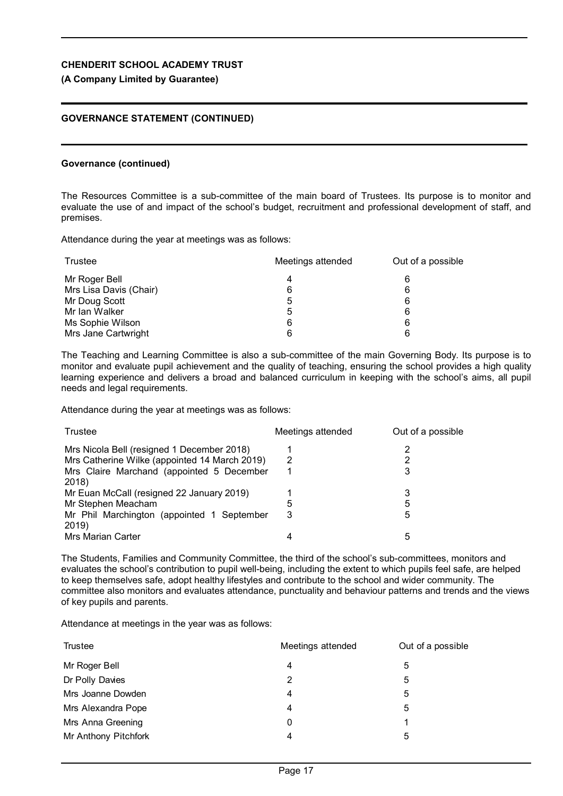### **(A Company Limited by Guarantee)**

### **GOVERNANCE STATEMENT (CONTINUED)**

#### **Governance (continued)**

The Resources Committee is a sub-committee of the main board of Trustees. Its purpose is to monitor and evaluate the use of and impact of the school's budget, recruitment and professional development of staff, and premises.

Attendance during the year at meetings was as follows:

| Trustee                | Meetings attended | Out of a possible |
|------------------------|-------------------|-------------------|
| Mr Roger Bell          |                   | 6                 |
| Mrs Lisa Davis (Chair) | 6                 | 6                 |
| Mr Doug Scott          | 5                 | 6                 |
| Mr Ian Walker          | 5                 | 6                 |
| Ms Sophie Wilson       | 6                 | 6                 |
| Mrs Jane Cartwright    | 6                 |                   |

The Teaching and Learning Committee is also a sub-committee of the main Governing Body. Its purpose is to monitor and evaluate pupil achievement and the quality of teaching, ensuring the school provides a high quality learning experience and delivers a broad and balanced curriculum in keeping with the school's aims, all pupil needs and legal requirements.

Attendance during the year at meetings was as follows:

| Meetings attended<br>Out of a possible |
|----------------------------------------|
|                                        |
|                                        |
|                                        |
|                                        |
| 3                                      |
| 5                                      |
| 5                                      |
|                                        |
| 5                                      |
|                                        |

The Students, Families and Community Committee, the third of the school's sub-committees, monitors and evaluates the school's contribution to pupil well-being, including the extent to which pupils feel safe, are helped to keep themselves safe, adopt healthy lifestyles and contribute to the school and wider community. The committee also monitors and evaluates attendance, punctuality and behaviour patterns and trends and the views of key pupils and parents.

Attendance at meetings in the year was as follows:

| Trustee              | Meetings attended | Out of a possible |  |
|----------------------|-------------------|-------------------|--|
| Mr Roger Bell        | 4                 | 5                 |  |
| Dr Polly Davies      | 2                 | 5                 |  |
| Mrs Joanne Dowden    | 4                 | 5                 |  |
| Mrs Alexandra Pope   | 4                 | 5                 |  |
| Mrs Anna Greening    | 0                 |                   |  |
| Mr Anthony Pitchfork | 4                 | 5                 |  |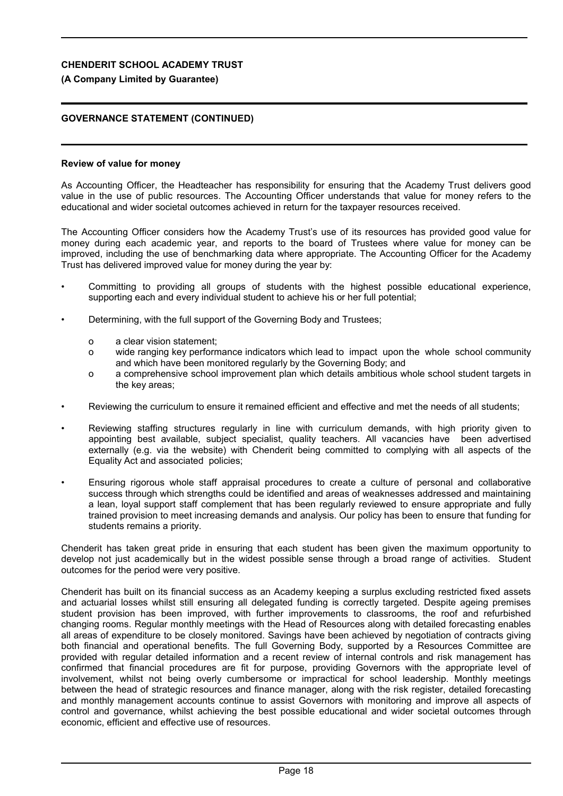### **(A Company Limited by Guarantee)**

### **GOVERNANCE STATEMENT (CONTINUED)**

#### **Review of value for money**

As Accounting Officer, the Headteacher has responsibility for ensuring that the Academy Trust delivers good value in the use of public resources. The Accounting Officer understands that value for money refers to the educational and wider societal outcomes achieved in return for the taxpayer resources received.

The Accounting Officer considers how the Academy Trust's use of its resources has provided good value for money during each academic year, and reports to the board of Trustees where value for money can be improved, including the use of benchmarking data where appropriate. The Accounting Officer for the Academy Trust has delivered improved value for money during the year by:

- Committing to providing all groups of students with the highest possible educational experience, supporting each and every individual student to achieve his or her full potential;
- Determining, with the full support of the Governing Body and Trustees;
	- o a clear vision statement;
	- o wide ranging key performance indicators which lead to impact upon the whole school community and which have been monitored regularly by the Governing Body; and
	- o a comprehensive school improvement plan which details ambitious whole school student targets in the key areas;
- Reviewing the curriculum to ensure it remained efficient and effective and met the needs of all students;
- Reviewing staffing structures regularly in line with curriculum demands, with high priority given to appointing best available, subject specialist, quality teachers. All vacancies have been advertised externally (e.g. via the website) with Chenderit being committed to complying with all aspects of the Equality Act and associated policies;
- Ensuring rigorous whole staff appraisal procedures to create a culture of personal and collaborative success through which strengths could be identified and areas of weaknesses addressed and maintaining a lean, loyal support staff complement that has been regularly reviewed to ensure appropriate and fully trained provision to meet increasing demands and analysis. Our policy has been to ensure that funding for students remains a priority.

Chenderit has taken great pride in ensuring that each student has been given the maximum opportunity to develop not just academically but in the widest possible sense through a broad range of activities. Student outcomes for the period were very positive.

Chenderit has built on its financial success as an Academy keeping a surplus excluding restricted fixed assets and actuarial losses whilst still ensuring all delegated funding is correctly targeted. Despite ageing premises student provision has been improved, with further improvements to classrooms, the roof and refurbished changing rooms. Regular monthly meetings with the Head of Resources along with detailed forecasting enables all areas of expenditure to be closely monitored. Savings have been achieved by negotiation of contracts giving both financial and operational benefits. The full Governing Body, supported by a Resources Committee are provided with regular detailed information and a recent review of internal controls and risk management has confirmed that financial procedures are fit for purpose, providing Governors with the appropriate level of involvement, whilst not being overly cumbersome or impractical for school leadership. Monthly meetings between the head of strategic resources and finance manager, along with the risk register, detailed forecasting and monthly management accounts continue to assist Governors with monitoring and improve all aspects of control and governance, whilst achieving the best possible educational and wider societal outcomes through economic, efficient and effective use of resources.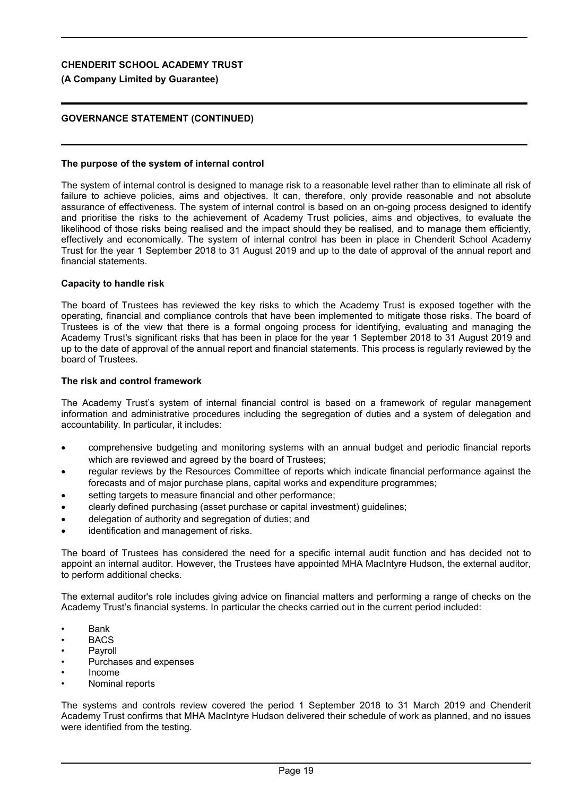## **(A Company Limited by Guarantee)**

## **GOVERNANCE STATEMENT (CONTINUED)**

## **The purpose of the system of internal control**

The system of internal control is designed to manage risk to a reasonable level rather than to eliminate all risk of failure to achieve policies, aims and objectives. It can, therefore, only provide reasonable and not absolute assurance of effectiveness. The system of internal control is based on an on-going process designed to identify and prioritise the risks to the achievement of Academy Trust policies, aims and objectives, to evaluate the likelihood of those risks being realised and the impact should they be realised, and to manage them efficiently, effectively and economically. The system of internal control has been in place in Chenderit School Academy Trust for the year 1 September 2018 to 31 August 2019 and up to the date of approval of the annual report and financial statements.

## **Capacity to handle risk**

The board of Trustees has reviewed the key risks to which the Academy Trust is exposed together with the operating, financial and compliance controls that have been implemented to mitigate those risks. The board of Trustees is of the view that there is a formal ongoing process for identifying, evaluating and managing the Academy Trust's significant risks that has been in place for the year 1 September 2018 to 31 August 2019 and up to the date of approval of the annual report and financial statements. This process is regularly reviewed by the board of Trustees.

## **The risk and control framework**

The Academy Trust's system of internal financial control is based on a framework of regular management information and administrative procedures including the segregation of duties and a system of delegation and accountability. In particular, it includes:

- comprehensive budgeting and monitoring systems with an annual budget and periodic financial reports which are reviewed and agreed by the board of Trustees;
- regular reviews by the Resources Committee of reports which indicate financial performance against the forecasts and of major purchase plans, capital works and expenditure programmes;
- setting targets to measure financial and other performance:
- clearly defined purchasing (asset purchase or capital investment) guidelines;
- delegation of authority and segregation of duties; and
- identification and management of risks.

The board of Trustees has considered the need for a specific internal audit function and has decided not to appoint an internal auditor. However, the Trustees have appointed MHA MacIntyre Hudson, the external auditor, to perform additional checks.

The external auditor's role includes giving advice on financial matters and performing a range of checks on the Academy Trust's financial systems. In particular the checks carried out in the current period included:

- Bank
- BACS
- **Payroll**
- Purchases and expenses
- Income
- Nominal reports

The systems and controls review covered the period 1 September 2018 to 31 March 2019 and Chenderit Academy Trust confirms that MHA MacIntyre Hudson delivered their schedule of work as planned, and no issues were identified from the testing.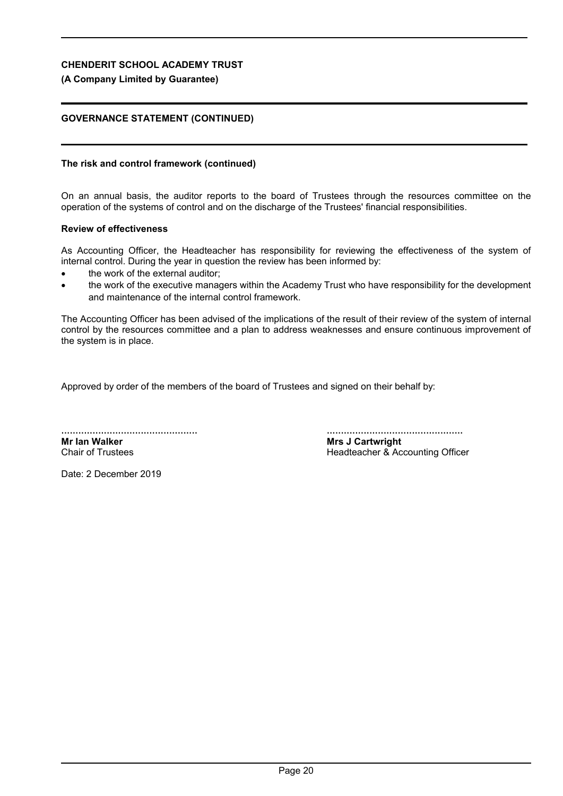### **(A Company Limited by Guarantee)**

### **GOVERNANCE STATEMENT (CONTINUED)**

#### **The risk and control framework (continued)**

On an annual basis, the auditor reports to the board of Trustees through the resources committee on the operation of the systems of control and on the discharge of the Trustees' financial responsibilities.

#### **Review of effectiveness**

As Accounting Officer, the Headteacher has responsibility for reviewing the effectiveness of the system of internal control. During the year in question the review has been informed by:

- the work of the external auditor;
- the work of the executive managers within the Academy Trust who have responsibility for the development and maintenance of the internal control framework.

The Accounting Officer has been advised of the implications of the result of their review of the system of internal control by the resources committee and a plan to address weaknesses and ensure continuous improvement of the system is in place.

Approved by order of the members of the board of Trustees and signed on their behalf by:

................................................ **Mr Ian Walker** Chair of Trustees

................................................ **Mrs J Cartwright** Headteacher & Accounting Officer

Date: 2 December 2019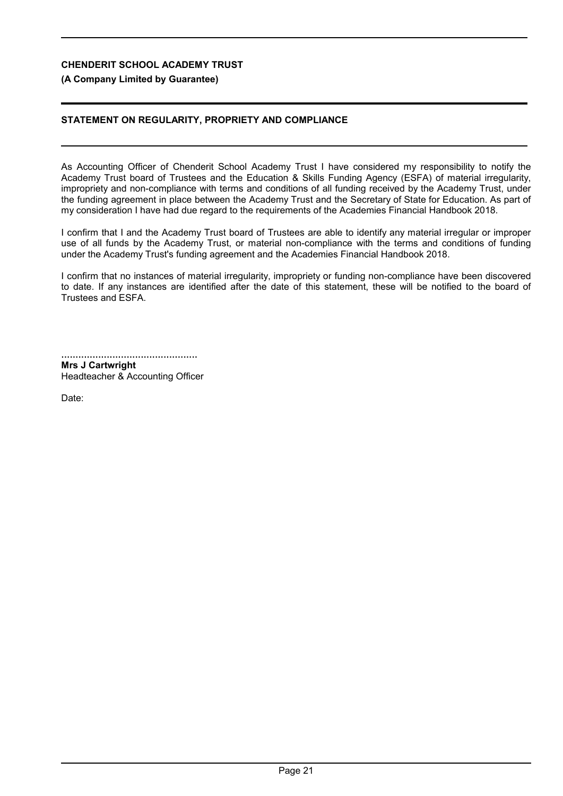## **(A Company Limited by Guarantee)**

### **STATEMENT ON REGULARITY, PROPRIETY AND COMPLIANCE**

As Accounting Officer of Chenderit School Academy Trust I have considered my responsibility to notify the Academy Trust board of Trustees and the Education & Skills Funding Agency (ESFA) of material irregularity, impropriety and non-compliance with terms and conditions of all funding received by the Academy Trust, under the funding agreement in place between the Academy Trust and the Secretary of State for Education. As part of my consideration I have had due regard to the requirements of the Academies Financial Handbook 2018.

I confirm that I and the Academy Trust board of Trustees are able to identify any material irregular or improper use of all funds by the Academy Trust, or material non-compliance with the terms and conditions of funding under the Academy Trust's funding agreement and the Academies Financial Handbook 2018.

I confirm that no instances of material irregularity, impropriety or funding non-compliance have been discovered to date. If any instances are identified after the date of this statement, these will be notified to the board of Trustees and ESFA.

................................................ **Mrs J Cartwright** Headteacher & Accounting Officer

Date: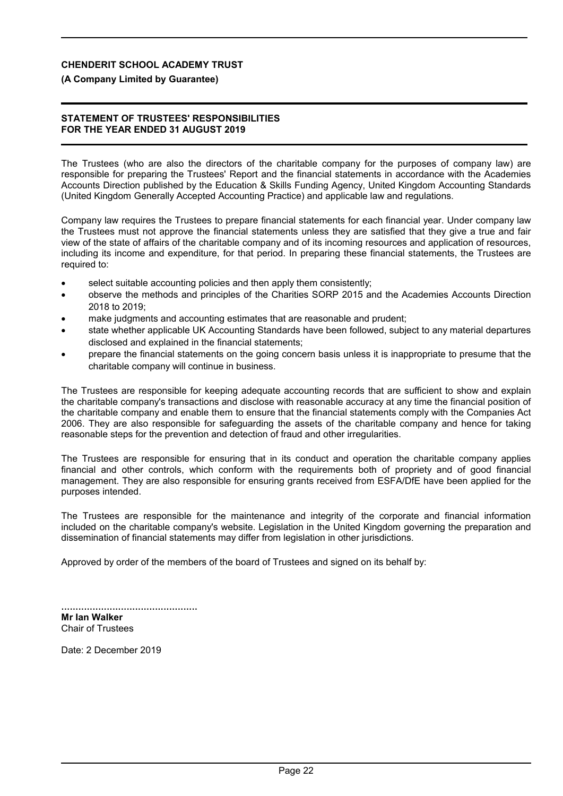### **(A Company Limited by Guarantee)**

#### **STATEMENT OF TRUSTEES' RESPONSIBILITIES FOR THE YEAR ENDED 31 AUGUST 2019**

The Trustees (who are also the directors of the charitable company for the purposes of company law) are responsible for preparing the Trustees' Report and the financial statements in accordance with the Academies Accounts Direction published by the Education & Skills Funding Agency, United Kingdom Accounting Standards (United Kingdom Generally Accepted Accounting Practice) and applicable law and regulations.

Company law requires the Trustees to prepare financial statements for each financial year. Under company law the Trustees must not approve the financial statements unless they are satisfied that they give a true and fair view of the state of affairs of the charitable company and of its incoming resources and application of resources, including its income and expenditure, for that period. In preparing these financial statements, the Trustees are required to:

- select suitable accounting policies and then apply them consistently;
- observe the methods and principles of the Charities SORP 2015 and the Academies Accounts Direction 2018 to 2019;
- make judgments and accounting estimates that are reasonable and prudent;
- state whether applicable UK Accounting Standards have been followed, subject to any material departures disclosed and explained in the financial statements;
- prepare the financial statements on the going concern basis unless it is inappropriate to presume that the charitable company will continue in business.

The Trustees are responsible for keeping adequate accounting records that are sufficient to show and explain the charitable company's transactions and disclose with reasonable accuracy at any time the financial position of the charitable company and enable them to ensure that the financial statements comply with the Companies Act 2006. They are also responsible for safeguarding the assets of the charitable company and hence for taking reasonable steps for the prevention and detection of fraud and other irregularities.

The Trustees are responsible for ensuring that in its conduct and operation the charitable company applies financial and other controls, which conform with the requirements both of propriety and of good financial management. They are also responsible for ensuring grants received from ESFA/DfE have been applied for the purposes intended.

The Trustees are responsible for the maintenance and integrity of the corporate and financial information included on the charitable company's website. Legislation in the United Kingdom governing the preparation and dissemination of financial statements may differ from legislation in other jurisdictions.

Approved by order of the members of the board of Trustees and signed on its behalf by:

................................................

**Mr Ian Walker** Chair of Trustees

Date: 2 December 2019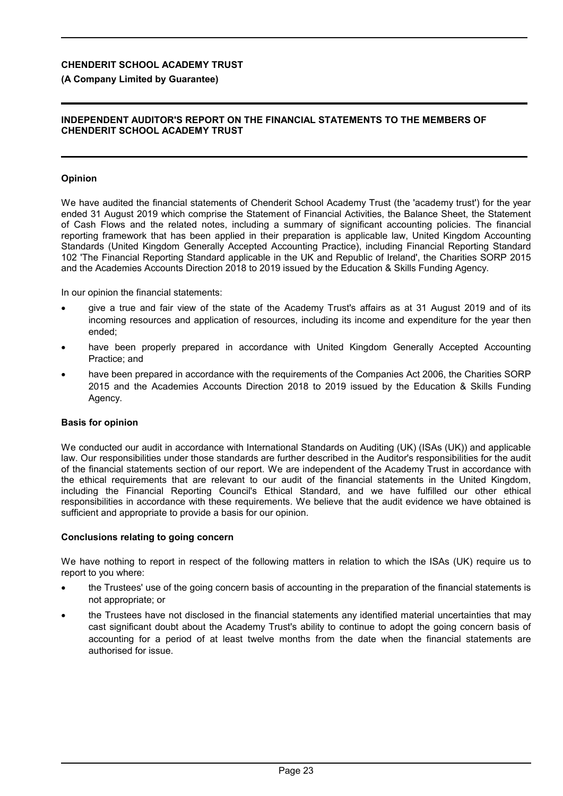### **(A Company Limited by Guarantee)**

#### **INDEPENDENT AUDITOR'S REPORT ON THE FINANCIAL STATEMENTS TO THE MEMBERS OF CHENDERIT SCHOOL ACADEMY TRUST**

### **Opinion**

We have audited the financial statements of Chenderit School Academy Trust (the 'academy trust') for the year ended 31 August 2019 which comprise the Statement of Financial Activities, the Balance Sheet, the Statement of Cash Flows and the related notes, including a summary of significant accounting policies. The financial reporting framework that has been applied in their preparation is applicable law, United Kingdom Accounting Standards (United Kingdom Generally Accepted Accounting Practice), including Financial Reporting Standard 102 'The Financial Reporting Standard applicable in the UK and Republic of Ireland', the Charities SORP 2015 and the Academies Accounts Direction 2018 to 2019 issued by the Education & Skills Funding Agency.

In our opinion the financial statements:

- give a true and fair view of the state of the Academy Trust's affairs as at 31 August 2019 and of its incoming resources and application of resources, including its income and expenditure for the year then ended;
- have been properly prepared in accordance with United Kingdom Generally Accepted Accounting Practice; and
- have been prepared in accordance with the requirements of the Companies Act 2006, the Charities SORP 2015 and the Academies Accounts Direction 2018 to 2019 issued by the Education & Skills Funding Agency.

### **Basis for opinion**

We conducted our audit in accordance with International Standards on Auditing (UK) (ISAs (UK)) and applicable law. Our responsibilities under those standards are further described in the Auditor's responsibilities for the audit of the financial statements section of our report. We are independent of the Academy Trust in accordance with the ethical requirements that are relevant to our audit of the financial statements in the United Kingdom, including the Financial Reporting Council's Ethical Standard, and we have fulfilled our other ethical responsibilities in accordance with these requirements. We believe that the audit evidence we have obtained is sufficient and appropriate to provide a basis for our opinion.

#### **Conclusions relating to going concern**

We have nothing to report in respect of the following matters in relation to which the ISAs (UK) require us to report to you where:

- the Trustees' use of the going concern basis of accounting in the preparation of the financial statements is not appropriate; or
- the Trustees have not disclosed in the financial statements any identified material uncertainties that may cast significant doubt about the Academy Trust's ability to continue to adopt the going concern basis of accounting for a period of at least twelve months from the date when the financial statements are authorised for issue.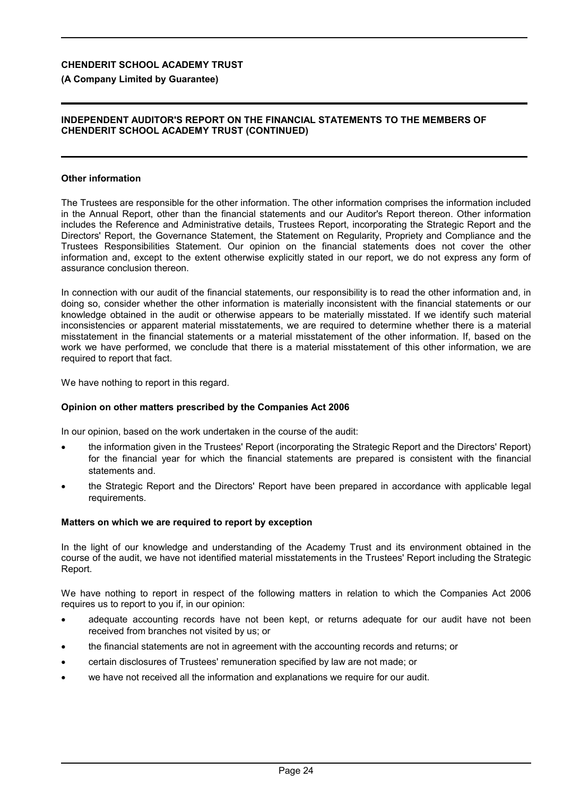### **(A Company Limited by Guarantee)**

### **INDEPENDENT AUDITOR'S REPORT ON THE FINANCIAL STATEMENTS TO THE MEMBERS OF CHENDERIT SCHOOL ACADEMY TRUST (CONTINUED)**

#### **Other information**

The Trustees are responsible for the other information. The other information comprises the information included in the Annual Report, other than the financial statements and our Auditor's Report thereon. Other information includes the Reference and Administrative details, Trustees Report, incorporating the Strategic Report and the Directors' Report, the Governance Statement, the Statement on Regularity, Propriety and Compliance and the Trustees Responsibilities Statement. Our opinion on the financial statements does not cover the other information and, except to the extent otherwise explicitly stated in our report, we do not express any form of assurance conclusion thereon.

In connection with our audit of the financial statements, our responsibility is to read the other information and, in doing so, consider whether the other information is materially inconsistent with the financial statements or our knowledge obtained in the audit or otherwise appears to be materially misstated. If we identify such material inconsistencies or apparent material misstatements, we are required to determine whether there is a material misstatement in the financial statements or a material misstatement of the other information. If, based on the work we have performed, we conclude that there is a material misstatement of this other information, we are required to report that fact.

We have nothing to report in this regard.

### **Opinion on other matters prescribed by the Companies Act 2006**

In our opinion, based on the work undertaken in the course of the audit:

- the information given in the Trustees' Report (incorporating the Strategic Report and the Directors' Report) for the financial year for which the financial statements are prepared is consistent with the financial statements and.
- the Strategic Report and the Directors' Report have been prepared in accordance with applicable legal requirements.

#### **Matters on which we are required to report by exception**

In the light of our knowledge and understanding of the Academy Trust and its environment obtained in the course of the audit, we have not identified material misstatements in the Trustees' Report including the Strategic Report.

We have nothing to report in respect of the following matters in relation to which the Companies Act 2006 requires us to report to you if, in our opinion:

- adequate accounting records have not been kept, or returns adequate for our audit have not been received from branches not visited by us; or
- the financial statements are not in agreement with the accounting records and returns; or
- certain disclosures of Trustees' remuneration specified by law are not made; or
- we have not received all the information and explanations we require for our audit.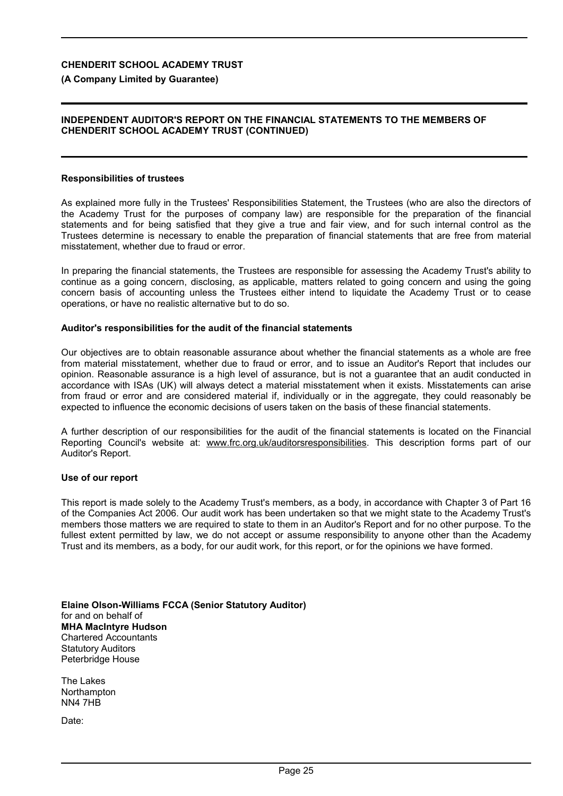**(A Company Limited by Guarantee)**

#### **INDEPENDENT AUDITOR'S REPORT ON THE FINANCIAL STATEMENTS TO THE MEMBERS OF CHENDERIT SCHOOL ACADEMY TRUST (CONTINUED)**

#### **Responsibilities of trustees**

As explained more fully in the Trustees' Responsibilities Statement, the Trustees (who are also the directors of the Academy Trust for the purposes of company law) are responsible for the preparation of the financial statements and for being satisfied that they give a true and fair view, and for such internal control as the Trustees determine is necessary to enable the preparation of financial statements that are free from material misstatement, whether due to fraud or error.

In preparing the financial statements, the Trustees are responsible for assessing the Academy Trust's ability to continue as a going concern, disclosing, as applicable, matters related to going concern and using the going concern basis of accounting unless the Trustees either intend to liquidate the Academy Trust or to cease operations, or have no realistic alternative but to do so.

#### **Auditor's responsibilities for the audit of the financial statements**

Our objectives are to obtain reasonable assurance about whether the financial statements as a whole are free from material misstatement, whether due to fraud or error, and to issue an Auditor's Report that includes our opinion. Reasonable assurance is a high level of assurance, but is not a guarantee that an audit conducted in accordance with ISAs (UK) will always detect a material misstatement when it exists. Misstatements can arise from fraud or error and are considered material if, individually or in the aggregate, they could reasonably be expected to influence the economic decisions of users taken on the basis of these financial statements.

A further description of our responsibilities for the audit of the financial statements is located on the Financial Reporting Council's website at: www.frc.org.uk/auditorsresponsibilities. This description forms part of our Auditor's Report.

#### **Use of our report**

This report is made solely to the Academy Trust's members, as a body, in accordance with Chapter 3 of Part 16 of the Companies Act 2006. Our audit work has been undertaken so that we might state to the Academy Trust's members those matters we are required to state to them in an Auditor's Report and for no other purpose. To the fullest extent permitted by law, we do not accept or assume responsibility to anyone other than the Academy Trust and its members, as a body, for our audit work, for this report, or for the opinions we have formed.

**Elaine Olson-Williams FCCA (Senior Statutory Auditor)** for and on behalf of **MHA MacIntyre Hudson** Chartered Accountants Statutory Auditors Peterbridge House

The Lakes **Northampton** NN4 7HB

Date: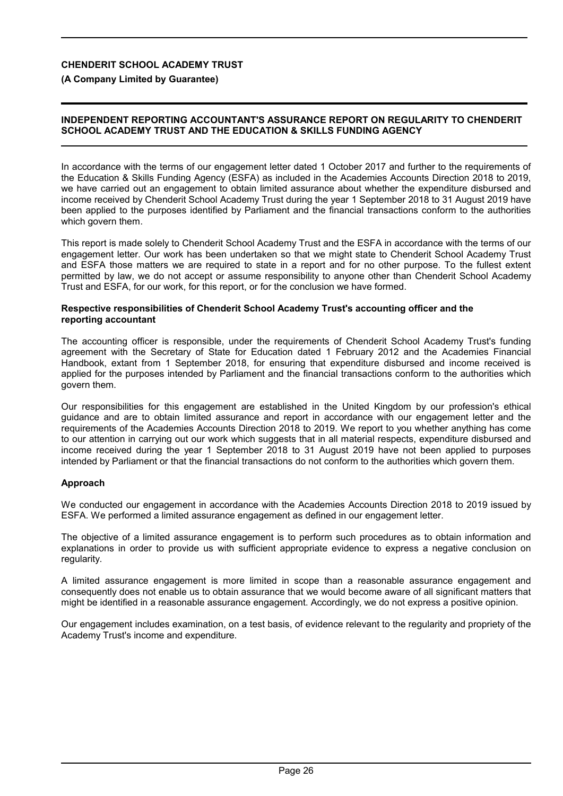### **(A Company Limited by Guarantee)**

### **INDEPENDENT REPORTING ACCOUNTANT'S ASSURANCE REPORT ON REGULARITY TO CHENDERIT SCHOOL ACADEMY TRUST AND THE EDUCATION & SKILLS FUNDING AGENCY**

In accordance with the terms of our engagement letter dated 1 October 2017 and further to the requirements of the Education & Skills Funding Agency (ESFA) as included in the Academies Accounts Direction 2018 to 2019, we have carried out an engagement to obtain limited assurance about whether the expenditure disbursed and income received by Chenderit School Academy Trust during the year 1 September 2018 to 31 August 2019 have been applied to the purposes identified by Parliament and the financial transactions conform to the authorities which govern them.

This report is made solely to Chenderit School Academy Trust and the ESFA in accordance with the terms of our engagement letter. Our work has been undertaken so that we might state to Chenderit School Academy Trust and ESFA those matters we are required to state in a report and for no other purpose. To the fullest extent permitted by law, we do not accept or assume responsibility to anyone other than Chenderit School Academy Trust and ESFA, for our work, for this report, or for the conclusion we have formed.

#### **Respective responsibilities of Chenderit School Academy Trust's accounting officer and the reporting accountant**

The accounting officer is responsible, under the requirements of Chenderit School Academy Trust's funding agreement with the Secretary of State for Education dated 1 February 2012 and the Academies Financial Handbook, extant from 1 September 2018, for ensuring that expenditure disbursed and income received is applied for the purposes intended by Parliament and the financial transactions conform to the authorities which govern them.

Our responsibilities for this engagement are established in the United Kingdom by our profession's ethical guidance and are to obtain limited assurance and report in accordance with our engagement letter and the requirements of the Academies Accounts Direction 2018 to 2019. We report to you whether anything has come to our attention in carrying out our work which suggests that in all material respects, expenditure disbursed and income received during the year 1 September 2018 to 31 August 2019 have not been applied to purposes intended by Parliament or that the financial transactions do not conform to the authorities which govern them.

### **Approach**

We conducted our engagement in accordance with the Academies Accounts Direction 2018 to 2019 issued by ESFA. We performed a limited assurance engagement as defined in our engagement letter.

The objective of a limited assurance engagement is to perform such procedures as to obtain information and explanations in order to provide us with sufficient appropriate evidence to express a negative conclusion on regularity.

A limited assurance engagement is more limited in scope than a reasonable assurance engagement and consequently does not enable us to obtain assurance that we would become aware of all significant matters that might be identified in a reasonable assurance engagement. Accordingly, we do not express a positive opinion.

Our engagement includes examination, on a test basis, of evidence relevant to the regularity and propriety of the Academy Trust's income and expenditure.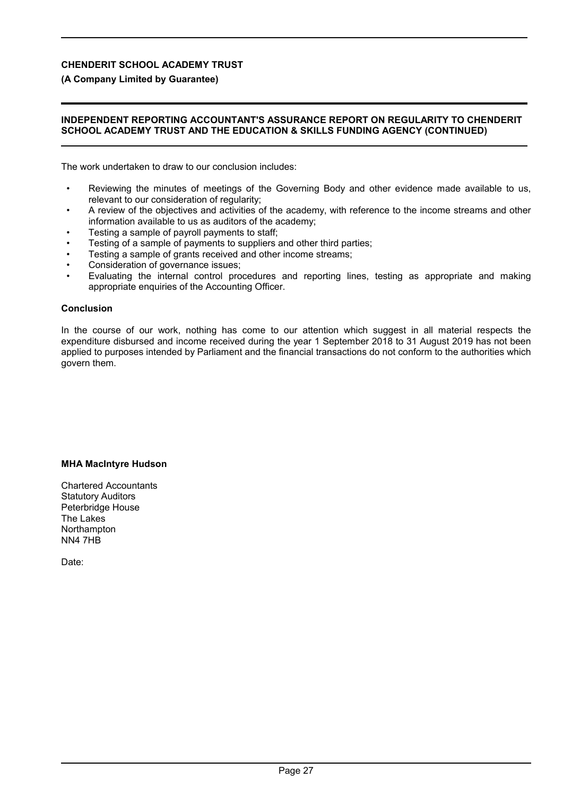### **(A Company Limited by Guarantee)**

### **INDEPENDENT REPORTING ACCOUNTANT'S ASSURANCE REPORT ON REGULARITY TO CHENDERIT SCHOOL ACADEMY TRUST AND THE EDUCATION & SKILLS FUNDING AGENCY (CONTINUED)**

The work undertaken to draw to our conclusion includes:

- Reviewing the minutes of meetings of the Governing Body and other evidence made available to us, relevant to our consideration of regularity;
- A review of the objectives and activities of the academy, with reference to the income streams and other information available to us as auditors of the academy;
- Testing a sample of payroll payments to staff;
- Testing of a sample of payments to suppliers and other third parties;
- Testing a sample of grants received and other income streams;
- Consideration of governance issues:
- Evaluating the internal control procedures and reporting lines, testing as appropriate and making appropriate enquiries of the Accounting Officer.

#### **Conclusion**

In the course of our work, nothing has come to our attention which suggest in all material respects the expenditure disbursed and income received during the year 1 September 2018 to 31 August 2019 has not been applied to purposes intended by Parliament and the financial transactions do not conform to the authorities which govern them.

### **MHA MacIntyre Hudson**

Chartered Accountants Statutory Auditors Peterbridge House The Lakes **Northampton** NN4 7HB

Date: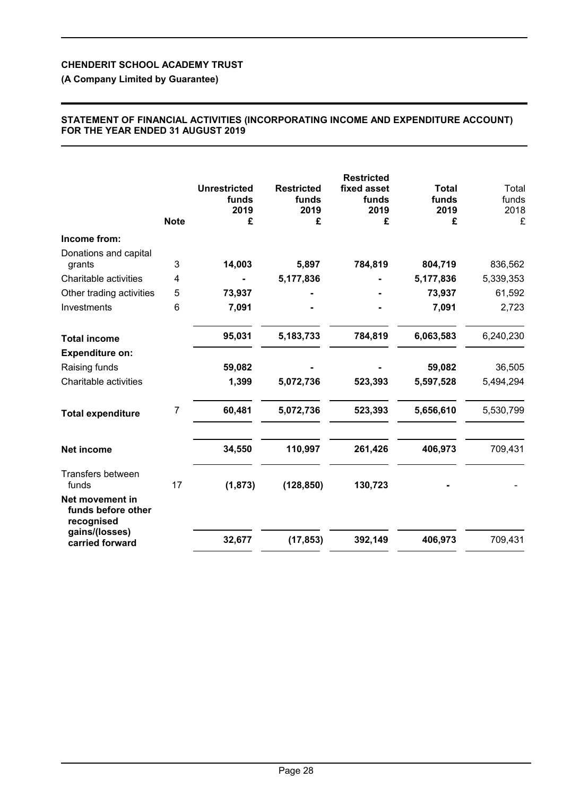**(A Company Limited by Guarantee)**

### **STATEMENT OF FINANCIAL ACTIVITIES (INCORPORATING INCOME AND EXPENDITURE ACCOUNT) FOR THE YEAR ENDED 31 AUGUST 2019**

|                                                     | <b>Note</b>    | <b>Unrestricted</b><br>funds<br>2019<br>£ | <b>Restricted</b><br>funds<br>2019<br>£ | <b>Restricted</b><br>fixed asset<br>funds<br>2019<br>£ | <b>Total</b><br>funds<br>2019<br>£ | Total<br>funds<br>2018<br>£ |
|-----------------------------------------------------|----------------|-------------------------------------------|-----------------------------------------|--------------------------------------------------------|------------------------------------|-----------------------------|
| Income from:                                        |                |                                           |                                         |                                                        |                                    |                             |
| Donations and capital<br>grants                     | 3              | 14,003                                    | 5,897                                   | 784,819                                                | 804,719                            | 836,562                     |
| Charitable activities                               | 4              |                                           | 5,177,836                               |                                                        | 5,177,836                          | 5,339,353                   |
| Other trading activities                            | 5              | 73,937                                    |                                         |                                                        | 73,937                             | 61,592                      |
| Investments                                         | 6              | 7,091                                     |                                         |                                                        | 7,091                              | 2,723                       |
| <b>Total income</b>                                 |                | 95,031                                    | 5,183,733                               | 784,819                                                | 6,063,583                          | 6,240,230                   |
| <b>Expenditure on:</b>                              |                |                                           |                                         |                                                        |                                    |                             |
| Raising funds                                       |                | 59,082                                    |                                         |                                                        | 59,082                             | 36,505                      |
| Charitable activities                               |                | 1,399                                     | 5,072,736                               | 523,393                                                | 5,597,528                          | 5,494,294                   |
| <b>Total expenditure</b>                            | $\overline{7}$ | 60,481                                    | 5,072,736                               | 523,393                                                | 5,656,610                          | 5,530,799                   |
| <b>Net income</b>                                   |                | 34,550                                    | 110,997                                 | 261,426                                                | 406,973                            | 709,431                     |
| <b>Transfers between</b><br>funds                   | 17             | (1, 873)                                  | (128, 850)                              | 130,723                                                |                                    |                             |
| Net movement in<br>funds before other<br>recognised |                |                                           |                                         |                                                        |                                    |                             |
| gains/(losses)<br>carried forward                   |                | 32,677                                    | (17, 853)                               | 392,149                                                | 406,973                            | 709,431                     |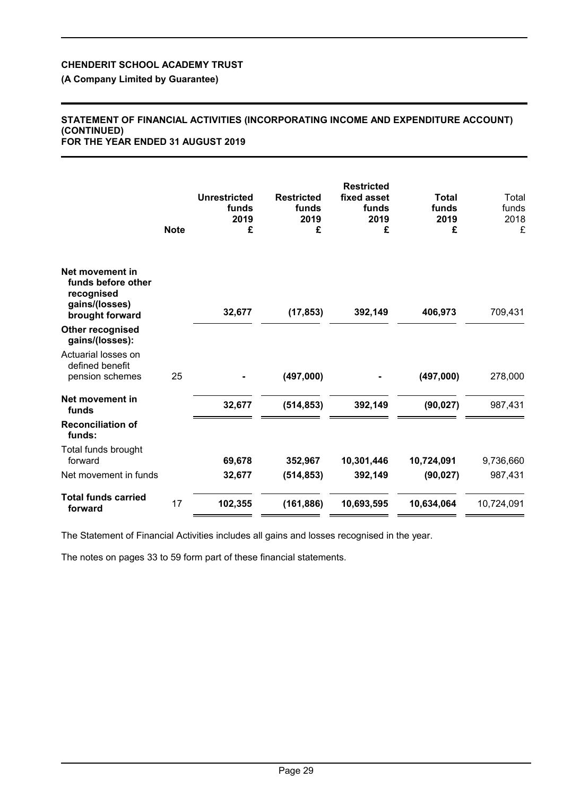**(A Company Limited by Guarantee)**

#### **STATEMENT OF FINANCIAL ACTIVITIES (INCORPORATING INCOME AND EXPENDITURE ACCOUNT) (CONTINUED) FOR THE YEAR ENDED 31 AUGUST 2019**

**Unrestricted funds 2019 Restricted funds 2019 Restricted fixed asset funds 2019 Total funds 2019** Total funds 2018 **Note £ £ £ £** £ **Net movement in funds before other recognised gains/(losses) brought forward 32,677 (17,853) 392,149 406,973** 709,431 **Other recognised gains/(losses):** Actuarial losses on defined benefit pension schemes 25 **- (497,000) - (497,000)** 278,000 **Net movement in funds 32,677 (514,853) 392,149 (90,027)** 987,431 **Reconciliation of funds:** Total funds brought forward **69,678 352,967 10,301,446 10,724,091** 9,736,660 Net movement in funds **32,677 (514,853) 392,149 (90,027)** 987,431 **Total funds carried forward** <sup>17</sup> **102,355 (161,886) 10,693,595 10,634,064** 10,724,091

The Statement of Financial Activities includes all gains and losses recognised in the year.

The notes on pages 33 to 59 form part of these financial statements.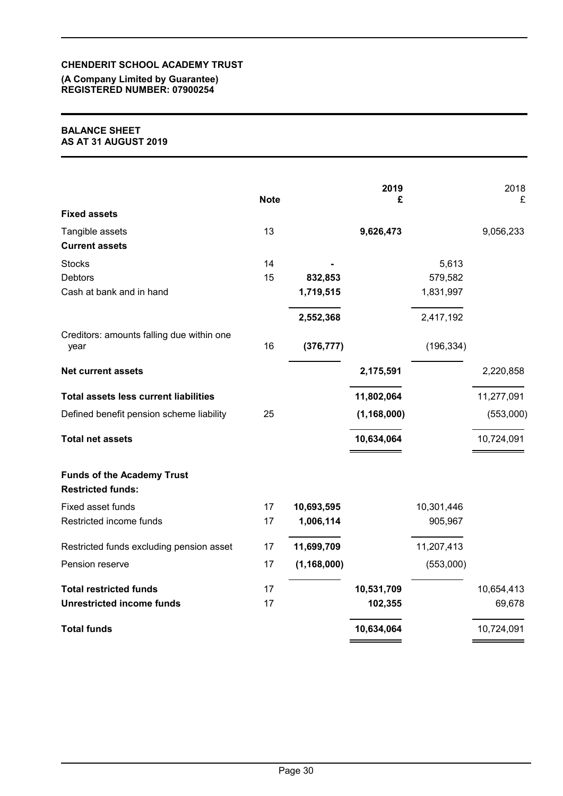### **(A Company Limited by Guarantee) REGISTERED NUMBER: 07900254**

### **BALANCE SHEET AS AT 31 AUGUST 2019**

|                                                               | <b>Note</b> |               | 2019<br>£     |            | 2018<br>£  |
|---------------------------------------------------------------|-------------|---------------|---------------|------------|------------|
| <b>Fixed assets</b>                                           |             |               |               |            |            |
| Tangible assets                                               | 13          |               | 9,626,473     |            | 9,056,233  |
| <b>Current assets</b>                                         |             |               |               |            |            |
| <b>Stocks</b>                                                 | 14          |               |               | 5,613      |            |
| Debtors                                                       | 15          | 832,853       |               | 579,582    |            |
| Cash at bank and in hand                                      |             | 1,719,515     |               | 1,831,997  |            |
|                                                               |             | 2,552,368     |               | 2,417,192  |            |
| Creditors: amounts falling due within one<br>year             | 16          | (376, 777)    |               | (196, 334) |            |
| <b>Net current assets</b>                                     |             |               | 2,175,591     |            | 2,220,858  |
| <b>Total assets less current liabilities</b>                  |             |               | 11,802,064    |            | 11,277,091 |
| Defined benefit pension scheme liability                      | 25          |               | (1, 168, 000) |            | (553,000)  |
| <b>Total net assets</b>                                       |             |               | 10,634,064    |            | 10,724,091 |
| <b>Funds of the Academy Trust</b><br><b>Restricted funds:</b> |             |               |               |            |            |
| Fixed asset funds                                             | 17          | 10,693,595    |               | 10,301,446 |            |
| Restricted income funds                                       | 17          | 1,006,114     |               | 905,967    |            |
| Restricted funds excluding pension asset                      | 17          | 11,699,709    |               | 11,207,413 |            |
| Pension reserve                                               | 17          | (1, 168, 000) |               | (553,000)  |            |
| <b>Total restricted funds</b>                                 | 17          |               | 10,531,709    |            | 10,654,413 |
| <b>Unrestricted income funds</b>                              | 17          |               | 102,355       |            | 69,678     |
| <b>Total funds</b>                                            |             |               | 10,634,064    |            | 10,724,091 |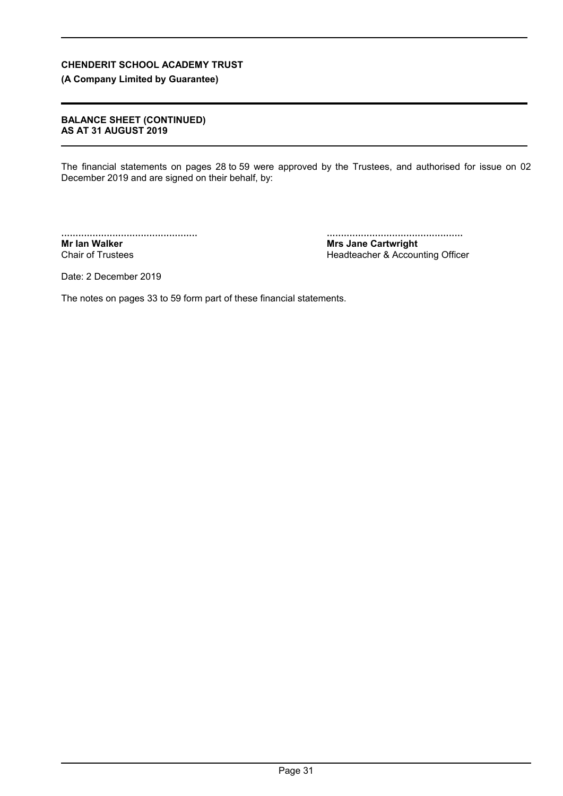**(A Company Limited by Guarantee)**

### **BALANCE SHEET (CONTINUED) AS AT 31 AUGUST 2019**

The financial statements on pages 28 to 59 were approved by the Trustees, and authorised for issue on 02 December 2019 and are signed on their behalf, by:

................................................ **Mr Ian Walker** Chair of Trustees

................................................ **Mrs Jane Cartwright** Headteacher & Accounting Officer

Date: 2 December 2019

The notes on pages 33 to 59 form part of these financial statements.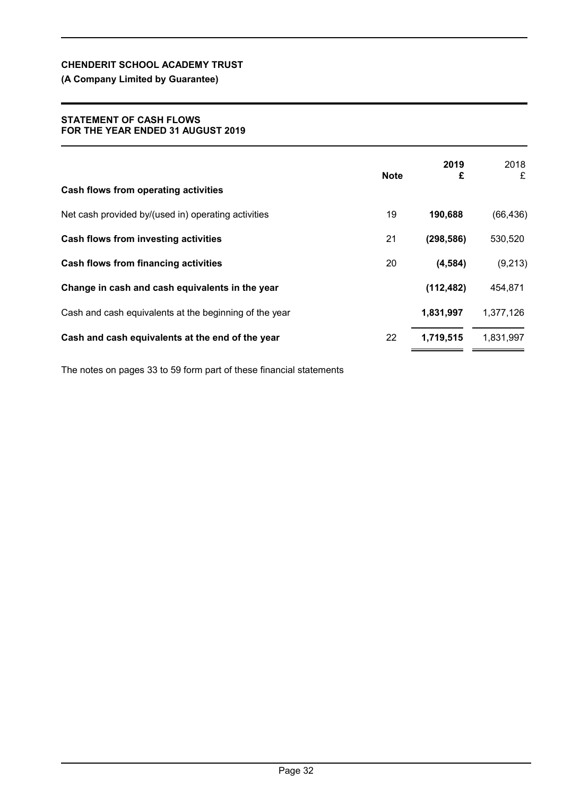## **(A Company Limited by Guarantee)**

### **STATEMENT OF CASH FLOWS FOR THE YEAR ENDED 31 AUGUST 2019**

| Cash flows from operating activities                   | <b>Note</b> | 2019<br>£  | 2018<br>£ |
|--------------------------------------------------------|-------------|------------|-----------|
| Net cash provided by/(used in) operating activities    | 19          | 190,688    | (66, 436) |
| Cash flows from investing activities                   | 21          | (298, 586) | 530,520   |
| <b>Cash flows from financing activities</b>            | 20          | (4, 584)   | (9, 213)  |
| Change in cash and cash equivalents in the year        |             | (112, 482) | 454,871   |
| Cash and cash equivalents at the beginning of the year |             | 1,831,997  | 1,377,126 |
| Cash and cash equivalents at the end of the year       | 22          | 1,719,515  | 1,831,997 |

The notes on pages 33 to 59 form part of these financial statements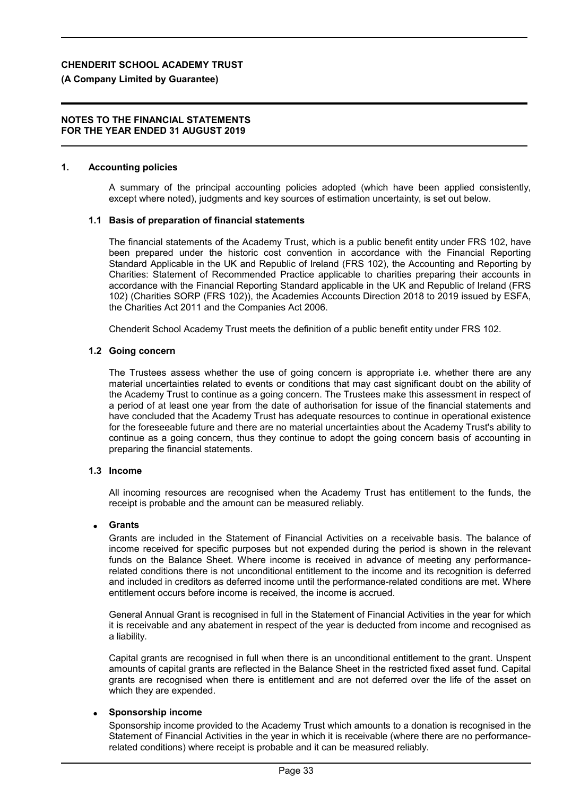### **(A Company Limited by Guarantee)**

#### **NOTES TO THE FINANCIAL STATEMENTS FOR THE YEAR ENDED 31 AUGUST 2019**

#### **1. Accounting policies**

A summary of the principal accounting policies adopted (which have been applied consistently, except where noted), judgments and key sources of estimation uncertainty, is set out below.

#### **1.1 Basis of preparation of financial statements**

The financial statements of the Academy Trust, which is a public benefit entity under FRS 102, have been prepared under the historic cost convention in accordance with the Financial Reporting Standard Applicable in the UK and Republic of Ireland (FRS 102), the Accounting and Reporting by Charities: Statement of Recommended Practice applicable to charities preparing their accounts in accordance with the Financial Reporting Standard applicable in the UK and Republic of Ireland (FRS 102) (Charities SORP (FRS 102)), the Academies Accounts Direction 2018 to 2019 issued by ESFA, the Charities Act 2011 and the Companies Act 2006.

Chenderit School Academy Trust meets the definition of a public benefit entity under FRS 102.

### **1.2 Going concern**

The Trustees assess whether the use of going concern is appropriate i.e. whether there are any material uncertainties related to events or conditions that may cast significant doubt on the ability of the Academy Trust to continue as a going concern. The Trustees make this assessment in respect of a period of at least one year from the date of authorisation for issue of the financial statements and have concluded that the Academy Trust has adequate resources to continue in operational existence for the foreseeable future and there are no material uncertainties about the Academy Trust's ability to continue as a going concern, thus they continue to adopt the going concern basis of accounting in preparing the financial statements.

### **1.3 Income**

All incoming resources are recognised when the Academy Trust has entitlement to the funds, the receipt is probable and the amount can be measured reliably.

### **Grants**

Grants are included in the Statement of Financial Activities on a receivable basis. The balance of income received for specific purposes but not expended during the period is shown in the relevant funds on the Balance Sheet. Where income is received in advance of meeting any performancerelated conditions there is not unconditional entitlement to the income and its recognition is deferred and included in creditors as deferred income until the performance-related conditions are met. Where entitlement occurs before income is received, the income is accrued.

General Annual Grant is recognised in full in the Statement of Financial Activities in the year for which it is receivable and any abatement in respect of the year is deducted from income and recognised as a liability.

Capital grants are recognised in full when there is an unconditional entitlement to the grant. Unspent amounts of capital grants are reflected in the Balance Sheet in the restricted fixed asset fund. Capital grants are recognised when there is entitlement and are not deferred over the life of the asset on which they are expended.

### **Sponsorship income**

Sponsorship income provided to the Academy Trust which amounts to a donation is recognised in the Statement of Financial Activities in the year in which it is receivable (where there are no performancerelated conditions) where receipt is probable and it can be measured reliably.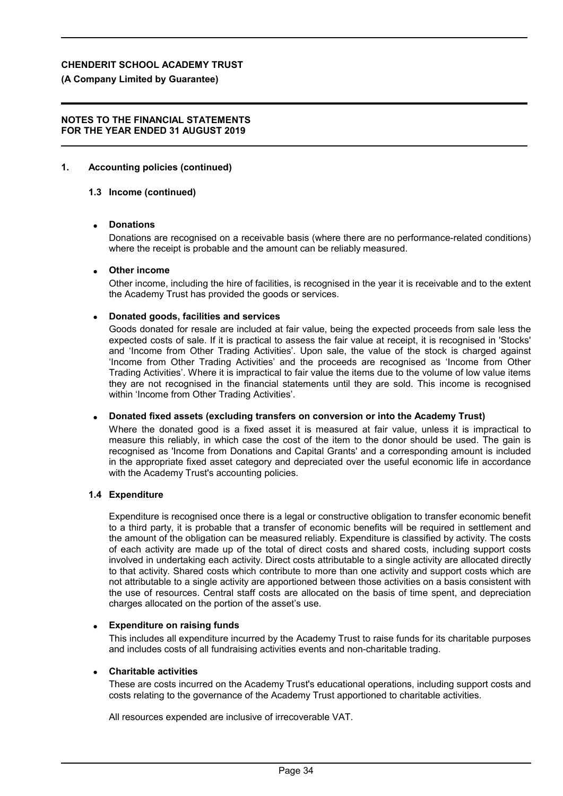### **(A Company Limited by Guarantee)**

#### **NOTES TO THE FINANCIAL STATEMENTS FOR THE YEAR ENDED 31 AUGUST 2019**

#### **1. Accounting policies (continued)**

#### **1.3 Income (continued)**

#### **Donations**

Donations are recognised on a receivable basis (where there are no performance-related conditions) where the receipt is probable and the amount can be reliably measured.

#### **Other income**

Other income, including the hire of facilities, is recognised in the year it is receivable and to the extent the Academy Trust has provided the goods or services.

#### **Donated goods, facilities and services**

Goods donated for resale are included at fair value, being the expected proceeds from sale less the expected costs of sale. If it is practical to assess the fair value at receipt, it is recognised in 'Stocks' and 'Income from Other Trading Activities'. Upon sale, the value of the stock is charged against 'Income from Other Trading Activities' and the proceeds are recognised as 'Income from Other Trading Activities'. Where it is impractical to fair value the items due to the volume of low value items they are not recognised in the financial statements until they are sold. This income is recognised within 'Income from Other Trading Activities'.

#### **Donated fixed assets (excluding transfers on conversion or into the Academy Trust)**

Where the donated good is a fixed asset it is measured at fair value, unless it is impractical to measure this reliably, in which case the cost of the item to the donor should be used. The gain is recognised as 'Income from Donations and Capital Grants' and a corresponding amount is included in the appropriate fixed asset category and depreciated over the useful economic life in accordance with the Academy Trust's accounting policies.

### **1.4 Expenditure**

Expenditure is recognised once there is a legal or constructive obligation to transfer economic benefit to a third party, it is probable that a transfer of economic benefits will be required in settlement and the amount of the obligation can be measured reliably. Expenditure is classified by activity. The costs of each activity are made up of the total of direct costs and shared costs, including support costs involved in undertaking each activity. Direct costs attributable to a single activity are allocated directly to that activity. Shared costs which contribute to more than one activity and support costs which are not attributable to a single activity are apportioned between those activities on a basis consistent with the use of resources. Central staff costs are allocated on the basis of time spent, and depreciation charges allocated on the portion of the asset's use.

### **Expenditure on raising funds**

This includes all expenditure incurred by the Academy Trust to raise funds for its charitable purposes and includes costs of all fundraising activities events and non-charitable trading.

#### **Charitable activities**

These are costs incurred on the Academy Trust's educational operations, including support costs and costs relating to the governance of the Academy Trust apportioned to charitable activities.

All resources expended are inclusive of irrecoverable VAT.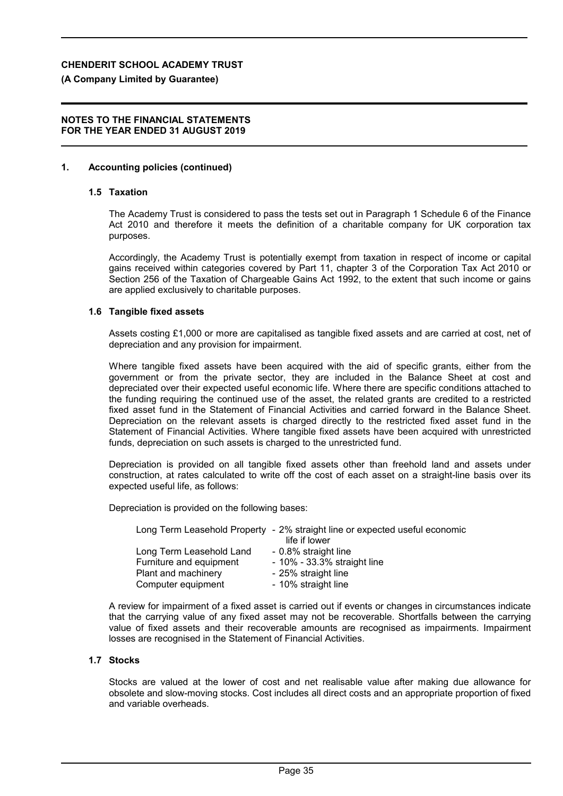**(A Company Limited by Guarantee)**

### **NOTES TO THE FINANCIAL STATEMENTS FOR THE YEAR ENDED 31 AUGUST 2019**

#### **1. Accounting policies (continued)**

#### **1.5 Taxation**

The Academy Trust is considered to pass the tests set out in Paragraph 1 Schedule 6 of the Finance Act 2010 and therefore it meets the definition of a charitable company for UK corporation tax purposes.

Accordingly, the Academy Trust is potentially exempt from taxation in respect of income or capital gains received within categories covered by Part 11, chapter 3 of the Corporation Tax Act 2010 or Section 256 of the Taxation of Chargeable Gains Act 1992, to the extent that such income or gains are applied exclusively to charitable purposes.

#### **1.6 Tangible fixed assets**

Assets costing £1,000 or more are capitalised as tangible fixed assets and are carried at cost, net of depreciation and any provision for impairment.

Where tangible fixed assets have been acquired with the aid of specific grants, either from the government or from the private sector, they are included in the Balance Sheet at cost and depreciated over their expected useful economic life. Where there are specific conditions attached to the funding requiring the continued use of the asset, the related grants are credited to a restricted fixed asset fund in the Statement of Financial Activities and carried forward in the Balance Sheet. Depreciation on the relevant assets is charged directly to the restricted fixed asset fund in the Statement of Financial Activities. Where tangible fixed assets have been acquired with unrestricted funds, depreciation on such assets is charged to the unrestricted fund.

Depreciation is provided on all tangible fixed assets other than freehold land and assets under construction, at rates calculated to write off the cost of each asset on a straight-line basis over its expected useful life, as follows:

Depreciation is provided on the following bases:

|                          | Long Term Leasehold Property - 2% straight line or expected useful economic |
|--------------------------|-----------------------------------------------------------------------------|
|                          | life if lower                                                               |
| Long Term Leasehold Land | - 0.8% straight line                                                        |
| Furniture and equipment  | $-10\% - 33.3\%$ straight line                                              |
| Plant and machinery      | - 25% straight line                                                         |
| Computer equipment       | - 10% straight line                                                         |

A review for impairment of a fixed asset is carried out if events or changes in circumstances indicate that the carrying value of any fixed asset may not be recoverable. Shortfalls between the carrying value of fixed assets and their recoverable amounts are recognised as impairments. Impairment losses are recognised in the Statement of Financial Activities.

### **1.7 Stocks**

Stocks are valued at the lower of cost and net realisable value after making due allowance for obsolete and slow-moving stocks. Cost includes all direct costs and an appropriate proportion of fixed and variable overheads.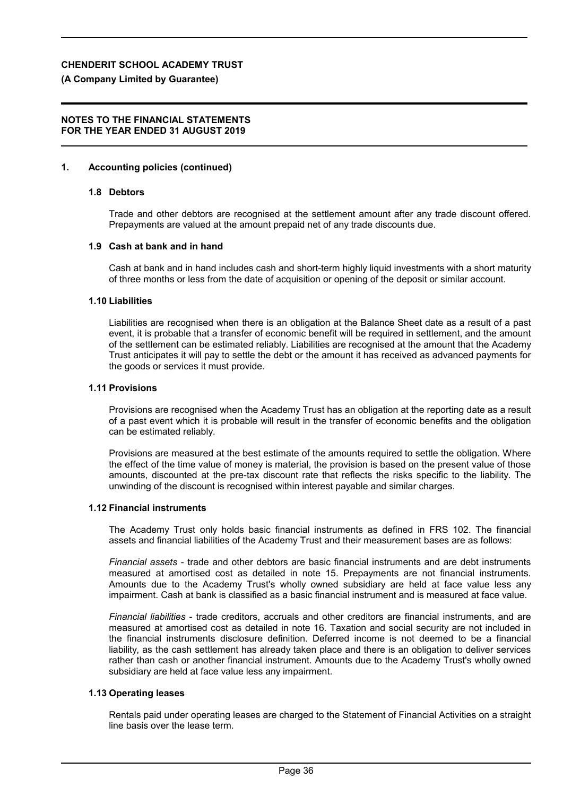## **(A Company Limited by Guarantee)**

### **NOTES TO THE FINANCIAL STATEMENTS FOR THE YEAR ENDED 31 AUGUST 2019**

## **1. Accounting policies (continued)**

## **1.8 Debtors**

Trade and other debtors are recognised at the settlement amount after any trade discount offered. Prepayments are valued at the amount prepaid net of any trade discounts due.

### **1.9 Cash at bank and in hand**

Cash at bank and in hand includes cash and short-term highly liquid investments with a short maturity of three months or less from the date of acquisition or opening of the deposit or similar account.

#### **1.10 Liabilities**

Liabilities are recognised when there is an obligation at the Balance Sheet date as a result of a past event, it is probable that a transfer of economic benefit will be required in settlement, and the amount of the settlement can be estimated reliably. Liabilities are recognised at the amount that the Academy Trust anticipates it will pay to settle the debt or the amount it has received as advanced payments for the goods or services it must provide.

### **1.11 Provisions**

Provisions are recognised when the Academy Trust has an obligation at the reporting date as a result of a past event which it is probable will result in the transfer of economic benefits and the obligation can be estimated reliably.

Provisions are measured at the best estimate of the amounts required to settle the obligation. Where the effect of the time value of money is material, the provision is based on the present value of those amounts, discounted at the pre-tax discount rate that reflects the risks specific to the liability. The unwinding of the discount is recognised within interest payable and similar charges.

#### **1.12 Financial instruments**

The Academy Trust only holds basic financial instruments as defined in FRS 102. The financial assets and financial liabilities of the Academy Trust and their measurement bases are as follows:

*Financial assets* - trade and other debtors are basic financial instruments and are debt instruments measured at amortised cost as detailed in note 15. Prepayments are not financial instruments. Amounts due to the Academy Trust's wholly owned subsidiary are held at face value less any impairment. Cash at bank is classified as a basic financial instrument and is measured at face value.

*Financial liabilities* - trade creditors, accruals and other creditors are financial instruments, and are measured at amortised cost as detailed in note 16. Taxation and social security are not included in the financial instruments disclosure definition. Deferred income is not deemed to be a financial liability, as the cash settlement has already taken place and there is an obligation to deliver services rather than cash or another financial instrument. Amounts due to the Academy Trust's wholly owned subsidiary are held at face value less any impairment.

### **1.13 Operating leases**

Rentals paid under operating leases are charged to the Statement of Financial Activities on a straight line basis over the lease term.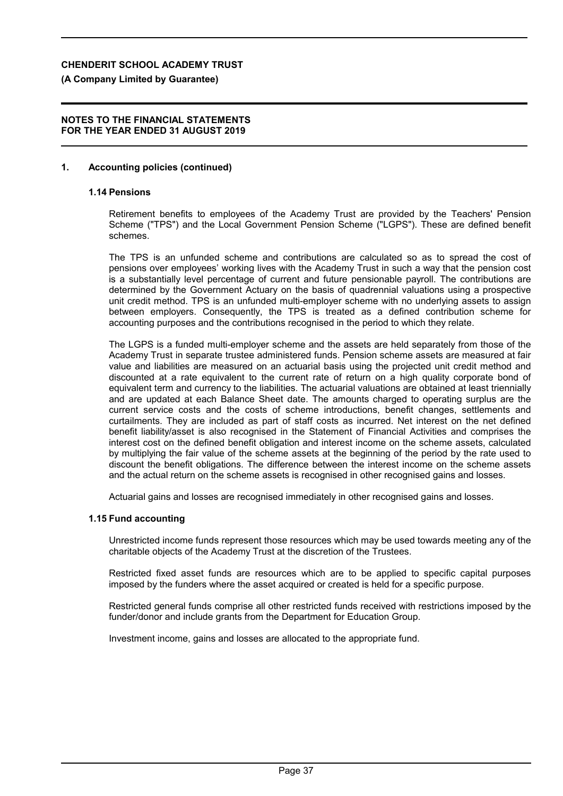**(A Company Limited by Guarantee)**

### **NOTES TO THE FINANCIAL STATEMENTS FOR THE YEAR ENDED 31 AUGUST 2019**

#### **1. Accounting policies (continued)**

### **1.14 Pensions**

Retirement benefits to employees of the Academy Trust are provided by the Teachers' Pension Scheme ("TPS") and the Local Government Pension Scheme ("LGPS"). These are defined benefit schemes.

The TPS is an unfunded scheme and contributions are calculated so as to spread the cost of pensions over employees' working lives with the Academy Trust in such a way that the pension cost is a substantially level percentage of current and future pensionable payroll. The contributions are determined by the Government Actuary on the basis of quadrennial valuations using a prospective unit credit method. TPS is an unfunded multi-employer scheme with no underlying assets to assign between employers. Consequently, the TPS is treated as a defined contribution scheme for accounting purposes and the contributions recognised in the period to which they relate.

The LGPS is a funded multi-employer scheme and the assets are held separately from those of the Academy Trust in separate trustee administered funds. Pension scheme assets are measured at fair value and liabilities are measured on an actuarial basis using the projected unit credit method and discounted at a rate equivalent to the current rate of return on a high quality corporate bond of equivalent term and currency to the liabilities. The actuarial valuations are obtained at least triennially and are updated at each Balance Sheet date. The amounts charged to operating surplus are the current service costs and the costs of scheme introductions, benefit changes, settlements and curtailments. They are included as part of staff costs as incurred. Net interest on the net defined benefit liability/asset is also recognised in the Statement of Financial Activities and comprises the interest cost on the defined benefit obligation and interest income on the scheme assets, calculated by multiplying the fair value of the scheme assets at the beginning of the period by the rate used to discount the benefit obligations. The difference between the interest income on the scheme assets and the actual return on the scheme assets is recognised in other recognised gains and losses.

Actuarial gains and losses are recognised immediately in other recognised gains and losses.

### **1.15 Fund accounting**

Unrestricted income funds represent those resources which may be used towards meeting any of the charitable objects of the Academy Trust at the discretion of the Trustees.

Restricted fixed asset funds are resources which are to be applied to specific capital purposes imposed by the funders where the asset acquired or created is held for a specific purpose.

Restricted general funds comprise all other restricted funds received with restrictions imposed by the funder/donor and include grants from the Department for Education Group.

Investment income, gains and losses are allocated to the appropriate fund.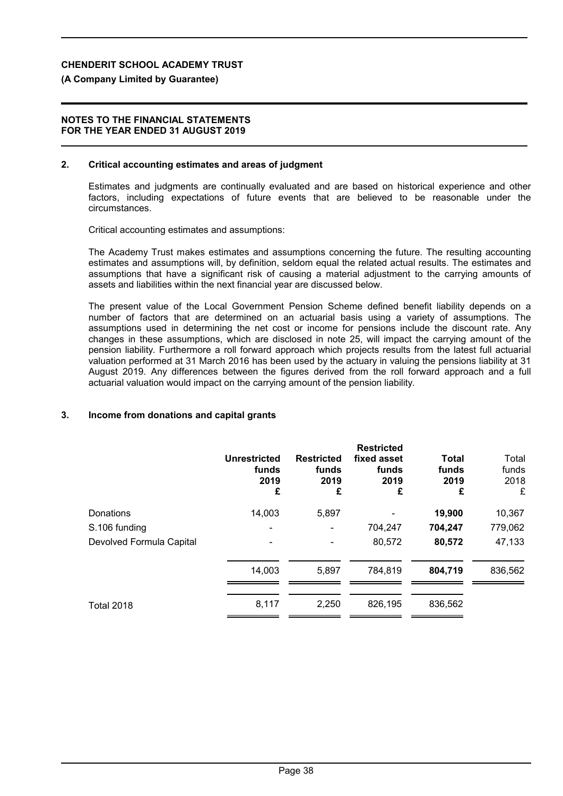### **(A Company Limited by Guarantee)**

#### **NOTES TO THE FINANCIAL STATEMENTS FOR THE YEAR ENDED 31 AUGUST 2019**

#### **2. Critical accounting estimates and areas of judgment**

Estimates and judgments are continually evaluated and are based on historical experience and other factors, including expectations of future events that are believed to be reasonable under the circumstances.

Critical accounting estimates and assumptions:

The Academy Trust makes estimates and assumptions concerning the future. The resulting accounting estimates and assumptions will, by definition, seldom equal the related actual results. The estimates and assumptions that have a significant risk of causing a material adjustment to the carrying amounts of assets and liabilities within the next financial year are discussed below.

The present value of the Local Government Pension Scheme defined benefit liability depends on a number of factors that are determined on an actuarial basis using a variety of assumptions. The assumptions used in determining the net cost or income for pensions include the discount rate. Any changes in these assumptions, which are disclosed in note 25, will impact the carrying amount of the pension liability. Furthermore a roll forward approach which projects results from the latest full actuarial valuation performed at 31 March 2016 has been used by the actuary in valuing the pensions liability at 31 August 2019. Any differences between the figures derived from the roll forward approach and a full actuarial valuation would impact on the carrying amount of the pension liability.

### **3. Income from donations and capital grants**

|                          | <b>Unrestricted</b><br>funds<br>2019<br>£ | <b>Restricted</b><br>funds<br>2019<br>£ | <b>Restricted</b><br>fixed asset<br>funds<br>2019<br>£ | Total<br>funds<br>2019<br>£ | Total<br>funds<br>2018<br>£ |
|--------------------------|-------------------------------------------|-----------------------------------------|--------------------------------------------------------|-----------------------------|-----------------------------|
| Donations                | 14,003                                    | 5,897                                   |                                                        | 19,900                      | 10,367                      |
| S.106 funding            |                                           |                                         | 704,247                                                | 704,247                     | 779,062                     |
| Devolved Formula Capital |                                           |                                         | 80,572                                                 | 80,572                      | 47,133                      |
|                          | 14,003                                    | 5,897                                   | 784,819                                                | 804,719                     | 836,562                     |
| <b>Total 2018</b>        | 8,117                                     | 2,250                                   | 826,195                                                | 836,562                     |                             |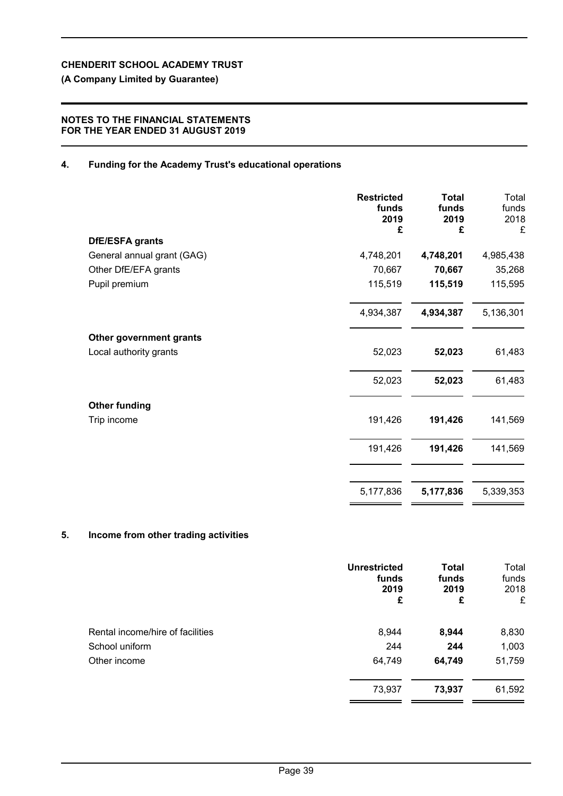**(A Company Limited by Guarantee)**

### **NOTES TO THE FINANCIAL STATEMENTS FOR THE YEAR ENDED 31 AUGUST 2019**

### **4. Funding for the Academy Trust's educational operations**

|                            | <b>Restricted</b><br>funds<br>2019<br>£ | <b>Total</b><br>funds<br>2019<br>£ | Total<br>funds<br>2018<br>£ |
|----------------------------|-----------------------------------------|------------------------------------|-----------------------------|
| DfE/ESFA grants            |                                         |                                    |                             |
| General annual grant (GAG) | 4,748,201                               | 4,748,201                          | 4,985,438                   |
| Other DfE/EFA grants       | 70,667                                  | 70,667                             | 35,268                      |
| Pupil premium              | 115,519                                 | 115,519                            | 115,595                     |
|                            | 4,934,387                               | 4,934,387                          | 5,136,301                   |
| Other government grants    |                                         |                                    |                             |
| Local authority grants     | 52,023                                  | 52,023                             | 61,483                      |
|                            | 52,023                                  | 52,023                             | 61,483                      |
| <b>Other funding</b>       |                                         |                                    |                             |
| Trip income                | 191,426                                 | 191,426                            | 141,569                     |
|                            | 191,426                                 | 191,426                            | 141,569                     |
|                            | 5,177,836                               | 5,177,836                          | 5,339,353                   |

### **5. Income from other trading activities**

|                                  | <b>Unrestricted</b><br>funds<br>2019<br>£ | <b>Total</b><br>funds<br>2019<br>£ | Total<br>funds<br>2018<br>£ |
|----------------------------------|-------------------------------------------|------------------------------------|-----------------------------|
| Rental income/hire of facilities | 8,944                                     | 8,944                              | 8,830                       |
| School uniform                   | 244                                       | 244                                | 1,003                       |
| Other income                     | 64,749                                    | 64,749                             | 51,759                      |
|                                  | 73,937                                    | 73,937                             | 61,592                      |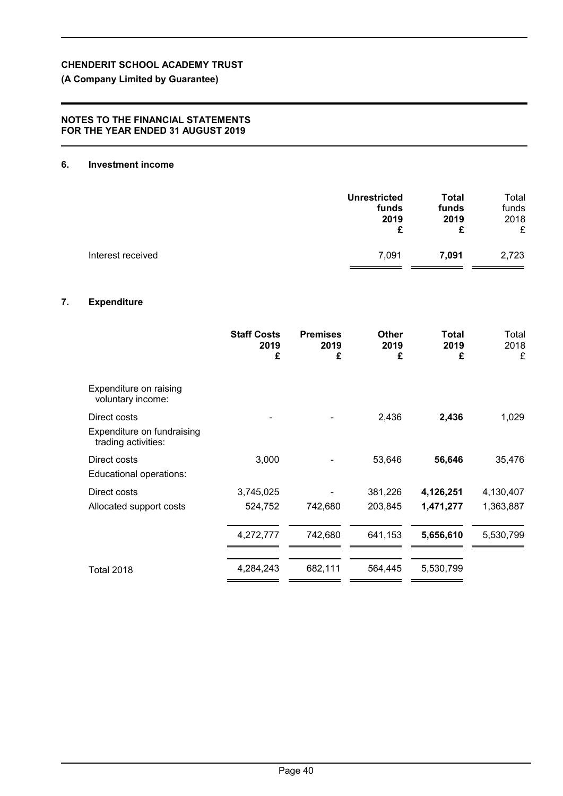**(A Company Limited by Guarantee)**

### **NOTES TO THE FINANCIAL STATEMENTS FOR THE YEAR ENDED 31 AUGUST 2019**

### **6. Investment income**

|                   | <b>Unrestricted</b> | Total | Total |
|-------------------|---------------------|-------|-------|
|                   | funds               | funds | funds |
|                   | 2019                | 2019  | 2018  |
|                   | £                   | £     | £     |
| Interest received | 7,091               | 7,091 | 2,723 |

## **7. Expenditure**

|                                                                   | <b>Staff Costs</b><br>2019<br>£ | <b>Premises</b><br>2019<br>£ | Other<br>2019<br>£ | Total<br>2019<br>£ | Total<br>2018<br>£ |
|-------------------------------------------------------------------|---------------------------------|------------------------------|--------------------|--------------------|--------------------|
| Expenditure on raising<br>voluntary income:                       |                                 |                              |                    |                    |                    |
| Direct costs<br>Expenditure on fundraising<br>trading activities: |                                 |                              | 2,436              | 2,436              | 1,029              |
| Direct costs<br>Educational operations:                           | 3,000                           |                              | 53,646             | 56,646             | 35,476             |
| Direct costs                                                      | 3,745,025                       |                              | 381,226            | 4,126,251          | 4,130,407          |
| Allocated support costs                                           | 524,752                         | 742,680                      | 203,845            | 1,471,277          | 1,363,887          |
|                                                                   | 4,272,777                       | 742,680                      | 641,153            | 5,656,610          | 5,530,799          |
| Total 2018                                                        | 4,284,243                       | 682,111                      | 564,445            | 5,530,799          |                    |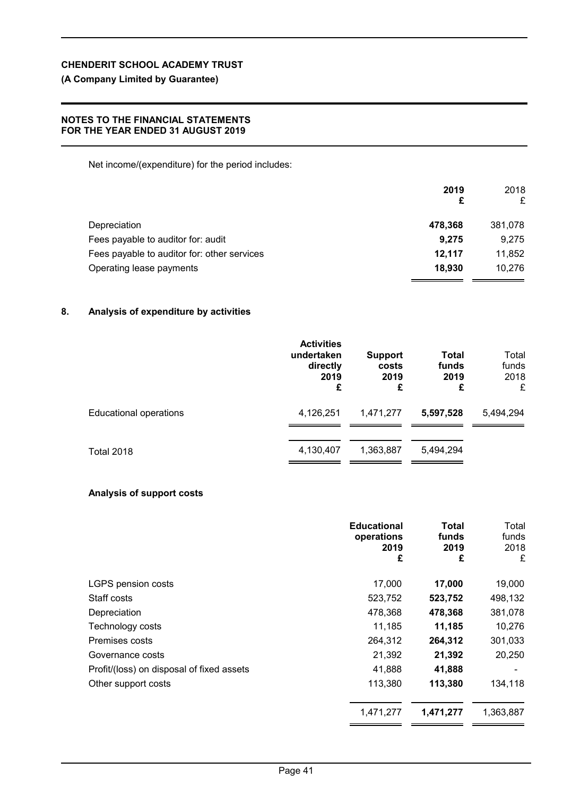## **(A Company Limited by Guarantee)**

### **NOTES TO THE FINANCIAL STATEMENTS FOR THE YEAR ENDED 31 AUGUST 2019**

Net income/(expenditure) for the period includes:

|                                             | 2019<br>£ | 2018<br>£ |
|---------------------------------------------|-----------|-----------|
| Depreciation                                | 478,368   | 381,078   |
| Fees payable to auditor for: audit          | 9,275     | 9,275     |
| Fees payable to auditor for: other services | 12,117    | 11,852    |
| Operating lease payments                    | 18,930    | 10,276    |

### **8. Analysis of expenditure by activities**

|                               | <b>Activities</b><br>undertaken<br>directly<br>2019<br>£ | <b>Support</b><br>costs<br>2019<br>£ | <b>Total</b><br>funds<br>2019<br>£ | Total<br>funds<br>2018<br>£ |
|-------------------------------|----------------------------------------------------------|--------------------------------------|------------------------------------|-----------------------------|
| <b>Educational operations</b> | 4,126,251                                                | 1,471,277                            | 5,597,528                          | 5,494,294                   |
| <b>Total 2018</b>             | 4,130,407                                                | 1,363,887                            | 5,494,294                          |                             |

## **Analysis of support costs**

|                                           | <b>Educational</b><br>operations<br>2019<br>£ | Total<br>funds<br>2019<br>£ | Total<br>funds<br>2018<br>£ |
|-------------------------------------------|-----------------------------------------------|-----------------------------|-----------------------------|
| <b>LGPS pension costs</b>                 | 17,000                                        | 17,000                      | 19,000                      |
| Staff costs                               | 523,752                                       | 523,752                     | 498,132                     |
| Depreciation                              | 478,368                                       | 478,368                     | 381,078                     |
| Technology costs                          | 11,185                                        | 11,185                      | 10,276                      |
| Premises costs                            | 264,312                                       | 264,312                     | 301,033                     |
| Governance costs                          | 21,392                                        | 21,392                      | 20,250                      |
| Profit/(loss) on disposal of fixed assets | 41,888                                        | 41,888                      |                             |
| Other support costs                       | 113,380                                       | 113,380                     | 134,118                     |
|                                           | 1,471,277                                     | 1,471,277                   | 1,363,887                   |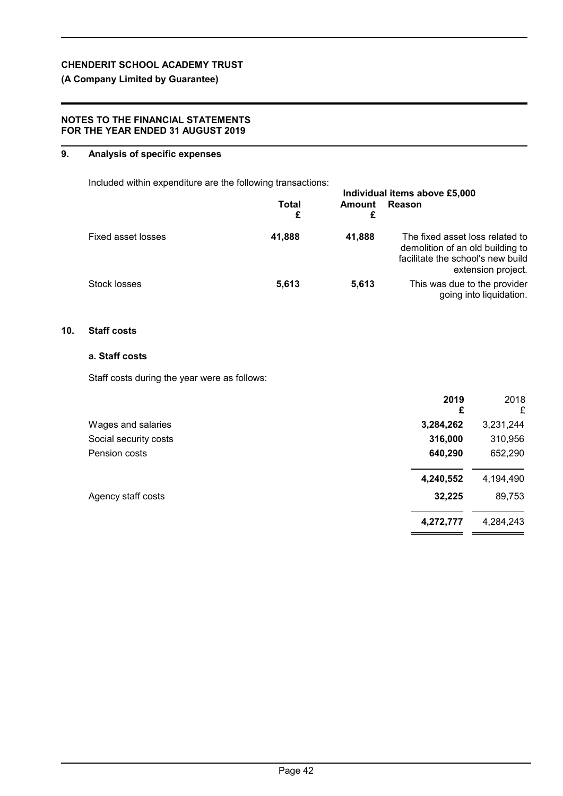## **(A Company Limited by Guarantee)**

### **NOTES TO THE FINANCIAL STATEMENTS FOR THE YEAR ENDED 31 AUGUST 2019**

### **9. Analysis of specific expenses**

Included within expenditure are the following transactions:

|                     | Individual items above £5,000 |               |                                                                                                                                |  |
|---------------------|-------------------------------|---------------|--------------------------------------------------------------------------------------------------------------------------------|--|
|                     | Total                         | <b>Amount</b> | Reason                                                                                                                         |  |
| Fixed asset losses  | 41,888                        | 41,888        | The fixed asset loss related to<br>demolition of an old building to<br>facilitate the school's new build<br>extension project. |  |
| <b>Stock losses</b> | 5,613                         | 5,613         | This was due to the provider<br>going into liquidation.                                                                        |  |

### **10. Staff costs**

#### **a. Staff costs**

Staff costs during the year were as follows:

|                       | 2019<br>£ | 2018<br>£ |
|-----------------------|-----------|-----------|
| Wages and salaries    | 3,284,262 | 3,231,244 |
| Social security costs | 316,000   | 310,956   |
| Pension costs         | 640,290   | 652,290   |
|                       | 4,240,552 | 4,194,490 |
| Agency staff costs    | 32,225    | 89,753    |
|                       | 4,272,777 | 4,284,243 |
|                       |           |           |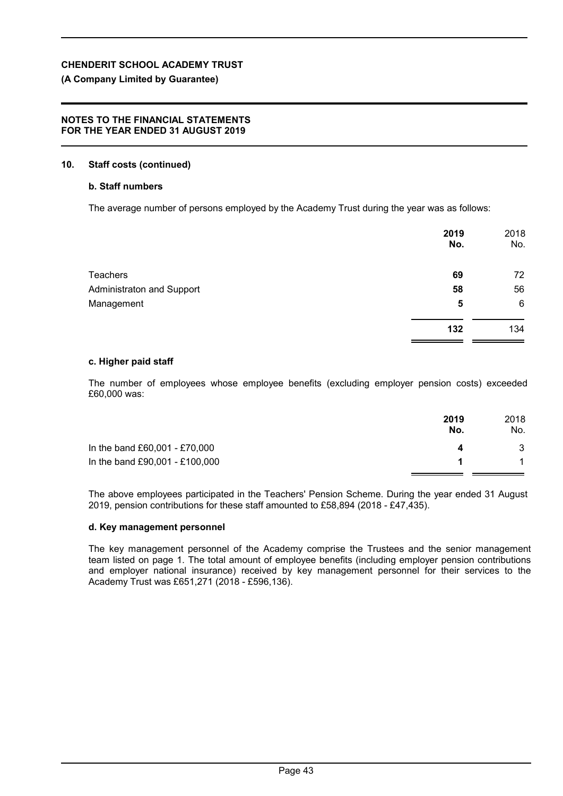### **(A Company Limited by Guarantee)**

#### **NOTES TO THE FINANCIAL STATEMENTS FOR THE YEAR ENDED 31 AUGUST 2019**

### **10. Staff costs (continued)**

### **b. Staff numbers**

The average number of persons employed by the Academy Trust during the year was as follows:

| 2019<br>No. | 2018<br>No. |
|-------------|-------------|
| 69          | 72          |
| 58          | 56          |
| 5           | 6           |
| 132         | 134         |
|             |             |

### **c. Higher paid staff**

The number of employees whose employee benefits (excluding employer pension costs) exceeded £60,000 was:

|                                | 2019<br>No. | 2018<br>No. |
|--------------------------------|-------------|-------------|
| In the band £60,001 - £70,000  |             | 3           |
| In the band £90,001 - £100,000 |             |             |

The above employees participated in the Teachers' Pension Scheme. During the year ended 31 August 2019, pension contributions for these staff amounted to £58,894 (2018 - £47,435).

### **d. Key management personnel**

The key management personnel of the Academy comprise the Trustees and the senior management team listed on page 1. The total amount of employee benefits (including employer pension contributions and employer national insurance) received by key management personnel for their services to the Academy Trust was £651,271 (2018 - £596,136).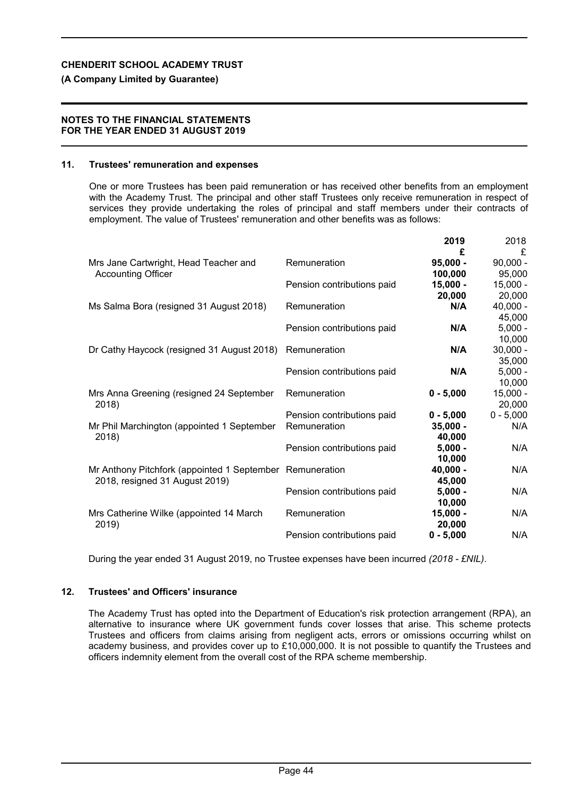## **(A Company Limited by Guarantee)**

### **NOTES TO THE FINANCIAL STATEMENTS FOR THE YEAR ENDED 31 AUGUST 2019**

## **11. Trustees' remuneration and expenses**

One or more Trustees has been paid remuneration or has received other benefits from an employment with the Academy Trust. The principal and other staff Trustees only receive remuneration in respect of services they provide undertaking the roles of principal and staff members under their contracts of employment. The value of Trustees' remuneration and other benefits was as follows:

|                                                          |                            | 2019        | 2018        |
|----------------------------------------------------------|----------------------------|-------------|-------------|
|                                                          |                            | £           | £           |
| Mrs Jane Cartwright, Head Teacher and                    | Remuneration               | $95,000 -$  | $90,000 -$  |
| <b>Accounting Officer</b>                                |                            | 100,000     | 95,000      |
|                                                          | Pension contributions paid | $15,000 -$  | $15,000 -$  |
|                                                          |                            | 20,000      | 20,000      |
| Ms Salma Bora (resigned 31 August 2018)                  | Remuneration               | N/A         | $40,000 -$  |
|                                                          |                            |             | 45,000      |
|                                                          | Pension contributions paid | N/A         | $5,000 -$   |
|                                                          |                            |             | 10,000      |
| Dr Cathy Haycock (resigned 31 August 2018)               | Remuneration               | N/A         | $30,000 -$  |
|                                                          |                            |             | 35,000      |
|                                                          | Pension contributions paid | N/A         | $5,000 -$   |
|                                                          |                            |             | 10,000      |
| Mrs Anna Greening (resigned 24 September                 | Remuneration               | $0 - 5,000$ | $15,000 -$  |
| 2018)                                                    |                            |             | 20,000      |
|                                                          | Pension contributions paid | $0 - 5,000$ | $0 - 5,000$ |
| Mr Phil Marchington (appointed 1 September               | Remuneration               | $35,000 -$  | N/A         |
| 2018)                                                    |                            | 40,000      |             |
|                                                          | Pension contributions paid | $5,000 -$   | N/A         |
|                                                          |                            | 10,000      |             |
| Mr Anthony Pitchfork (appointed 1 September Remuneration |                            | $40,000 -$  | N/A         |
| 2018, resigned 31 August 2019)                           |                            | 45,000      |             |
|                                                          | Pension contributions paid | $5,000 -$   | N/A         |
|                                                          |                            | 10,000      |             |
| Mrs Catherine Wilke (appointed 14 March                  | Remuneration               | $15,000 -$  | N/A         |
| 2019)                                                    |                            | 20,000      |             |
|                                                          | Pension contributions paid | $0 - 5,000$ | N/A         |
|                                                          |                            |             |             |

During the year ended 31 August 2019, no Trustee expenses have been incurred *(2018 - £NIL)*.

## **12. Trustees' and Officers' insurance**

The Academy Trust has opted into the Department of Education's risk protection arrangement (RPA), an alternative to insurance where UK government funds cover losses that arise. This scheme protects Trustees and officers from claims arising from negligent acts, errors or omissions occurring whilst on academy business, and provides cover up to £10,000,000. It is not possible to quantify the Trustees and officers indemnity element from the overall cost of the RPA scheme membership.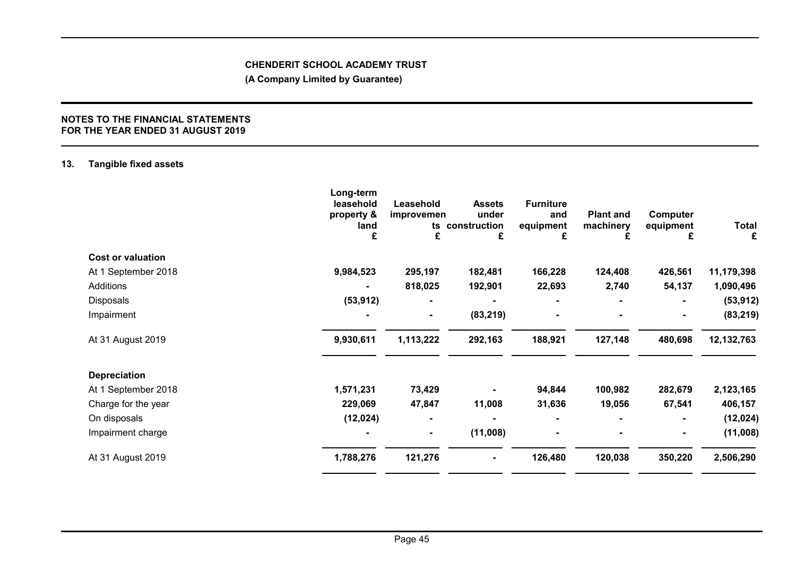**(A Company Limited by Guarantee)**

### **NOTES TO THE FINANCIAL STATEMENTS FOR THE YEAR ENDED 31 AUGUST 2019**

## **13. Tangible fixed assets**

|                          | Long-term<br>leasehold<br>property &<br>land<br>£ | Leasehold<br>improvemen<br>ts<br>£ | <b>Assets</b><br>under<br>construction<br>£ | <b>Furniture</b><br>and<br>equipment<br>£ | <b>Plant and</b><br>machinery<br>£ | Computer<br>equipment | Total<br>£   |
|--------------------------|---------------------------------------------------|------------------------------------|---------------------------------------------|-------------------------------------------|------------------------------------|-----------------------|--------------|
| <b>Cost or valuation</b> |                                                   |                                    |                                             |                                           |                                    |                       |              |
| At 1 September 2018      | 9,984,523                                         | 295,197                            | 182,481                                     | 166,228                                   | 124,408                            | 426,561               | 11,179,398   |
| Additions                |                                                   | 818,025                            | 192,901                                     | 22,693                                    | 2,740                              | 54,137                | 1,090,496    |
| Disposals                | (53, 912)                                         |                                    |                                             |                                           |                                    | $\blacksquare$        | (53, 912)    |
| Impairment               |                                                   | $\blacksquare$                     | (83, 219)                                   | $\blacksquare$                            |                                    | $\blacksquare$        | (83, 219)    |
| At 31 August 2019        | 9,930,611                                         | 1,113,222                          | 292,163                                     | 188,921                                   | 127,148                            | 480,698               | 12, 132, 763 |
| <b>Depreciation</b>      |                                                   |                                    |                                             |                                           |                                    |                       |              |
| At 1 September 2018      | 1,571,231                                         | 73,429                             |                                             | 94,844                                    | 100,982                            | 282,679               | 2,123,165    |
| Charge for the year      | 229,069                                           | 47,847                             | 11,008                                      | 31,636                                    | 19,056                             | 67,541                | 406,157      |
| On disposals             | (12, 024)                                         | $\blacksquare$                     |                                             | $\blacksquare$                            |                                    | $\blacksquare$        | (12, 024)    |
| Impairment charge        |                                                   | $\blacksquare$                     | (11,008)                                    | $\blacksquare$                            |                                    |                       | (11,008)     |
| At 31 August 2019        | 1,788,276                                         | 121,276                            |                                             | 126,480                                   | 120,038                            | 350,220               | 2,506,290    |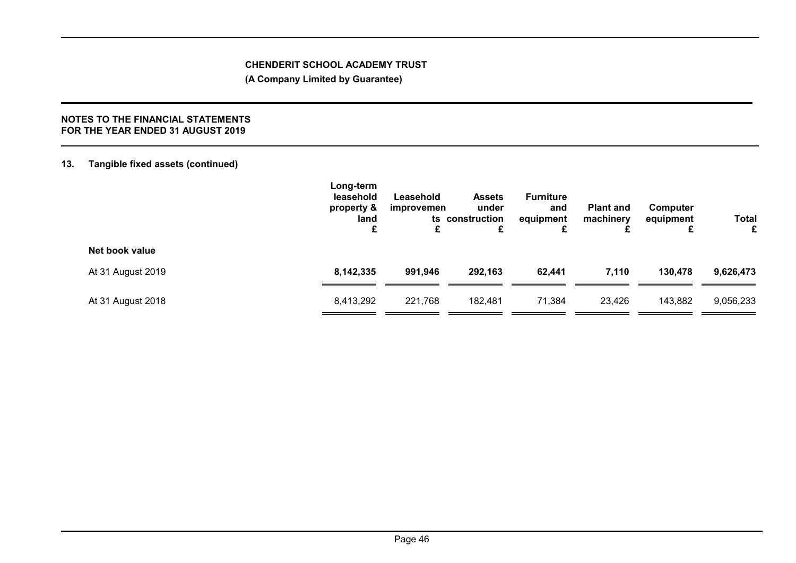**(A Company Limited by Guarantee)**

### **NOTES TO THE FINANCIAL STATEMENTS FOR THE YEAR ENDED 31 AUGUST 2019**

## **13. Tangible fixed assets (continued)**

|                   | Long-term<br>leasehold<br>property &<br>land<br>£ | Leasehold<br><i>improvemen</i><br>£ | <b>Assets</b><br>under<br>ts construction<br>£ | <b>Furniture</b><br>and<br>equipment | <b>Plant and</b><br>machinery | Computer<br>equipment<br>£ | <b>Total</b><br>£ |
|-------------------|---------------------------------------------------|-------------------------------------|------------------------------------------------|--------------------------------------|-------------------------------|----------------------------|-------------------|
| Net book value    |                                                   |                                     |                                                |                                      |                               |                            |                   |
| At 31 August 2019 | 8,142,335                                         | 991,946                             | 292,163                                        | 62,441                               | 7,110                         | 130,478                    | 9,626,473         |
| At 31 August 2018 | 8,413,292                                         | 221,768                             | 182,481                                        | 71,384                               | 23,426                        | 143,882                    | 9,056,233         |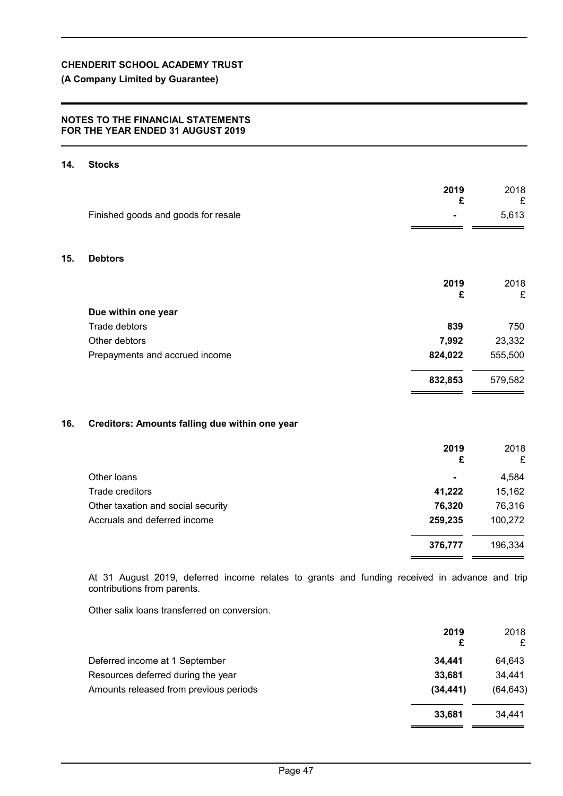## **(A Company Limited by Guarantee)**

### **NOTES TO THE FINANCIAL STATEMENTS FOR THE YEAR ENDED 31 AUGUST 2019**

#### **14. Stocks**

|     |                                     | 2019<br>£ | 2018<br>£ |
|-----|-------------------------------------|-----------|-----------|
|     | Finished goods and goods for resale |           | 5,613     |
|     |                                     |           |           |
| 15. | <b>Debtors</b>                      |           |           |
|     |                                     | 2019<br>£ | 2018<br>£ |
|     | Due within one year                 |           |           |
|     | Trade debtors                       | 839       | 750       |
|     | Other debtors                       | 7,992     | 23,332    |
|     | Prepayments and accrued income      | 824,022   | 555,500   |
|     |                                     | 832,853   | 579,582   |
|     |                                     |           |           |

### **16. Creditors: Amounts falling due within one year**

|                                    | 2019<br>£      | 2018<br>£ |
|------------------------------------|----------------|-----------|
| Other loans                        | $\blacksquare$ | 4,584     |
| Trade creditors                    | 41,222         | 15,162    |
| Other taxation and social security | 76,320         | 76,316    |
| Accruals and deferred income       | 259,235        | 100,272   |
|                                    | 376,777        | 196,334   |

At 31 August 2019, deferred income relates to grants and funding received in advance and trip contributions from parents.

Other salix loans transferred on conversion.

|                                        | 2019<br>£ | 2018<br>£ |
|----------------------------------------|-----------|-----------|
| Deferred income at 1 September         | 34.441    | 64.643    |
| Resources deferred during the year     | 33,681    | 34,441    |
| Amounts released from previous periods | (34, 441) | (64, 643) |
|                                        | 33,681    | 34.441    |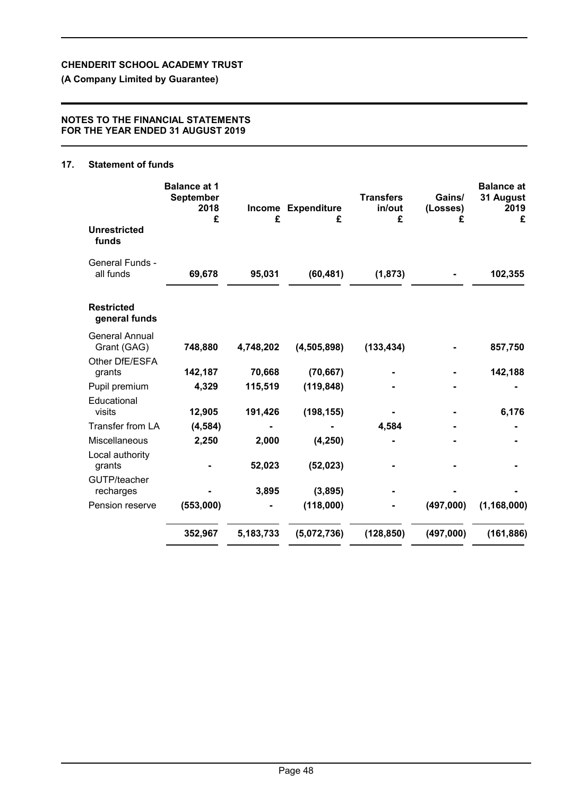**(A Company Limited by Guarantee)**

### **NOTES TO THE FINANCIAL STATEMENTS FOR THE YEAR ENDED 31 AUGUST 2019**

## **17. Statement of funds**

|                                      | <b>Balance at 1</b><br>September<br>2018<br>£ | <b>Income</b><br>£ | <b>Expenditure</b><br>£ | <b>Transfers</b><br>in/out<br>£ | Gains/<br>(Losses)<br>£ | <b>Balance at</b><br>31 August<br>2019<br>£ |
|--------------------------------------|-----------------------------------------------|--------------------|-------------------------|---------------------------------|-------------------------|---------------------------------------------|
| <b>Unrestricted</b><br>funds         |                                               |                    |                         |                                 |                         |                                             |
| General Funds -<br>all funds         | 69,678                                        | 95,031             | (60, 481)               | (1, 873)                        |                         | 102,355                                     |
| <b>Restricted</b><br>general funds   |                                               |                    |                         |                                 |                         |                                             |
| <b>General Annual</b><br>Grant (GAG) | 748,880                                       | 4,748,202          | (4,505,898)             | (133, 434)                      |                         | 857,750                                     |
| Other DfE/ESFA<br>grants             | 142,187                                       | 70,668             | (70, 667)               |                                 |                         | 142,188                                     |
| Pupil premium                        | 4,329                                         | 115,519            | (119, 848)              |                                 |                         |                                             |
| Educational<br>visits                | 12,905                                        | 191,426            | (198, 155)              |                                 |                         | 6,176                                       |
| Transfer from LA                     | (4, 584)                                      |                    |                         | 4,584                           |                         |                                             |
| <b>Miscellaneous</b>                 | 2,250                                         | 2,000              | (4, 250)                |                                 |                         |                                             |
| Local authority<br>grants            |                                               | 52,023             | (52, 023)               |                                 |                         |                                             |
| GUTP/teacher<br>recharges            |                                               | 3,895              | (3,895)                 |                                 |                         |                                             |
| Pension reserve                      | (553,000)                                     |                    | (118,000)               |                                 | (497,000)               | (1, 168, 000)                               |
|                                      | 352,967                                       | 5,183,733          | (5,072,736)             | (128, 850)                      | (497,000)               | (161, 886)                                  |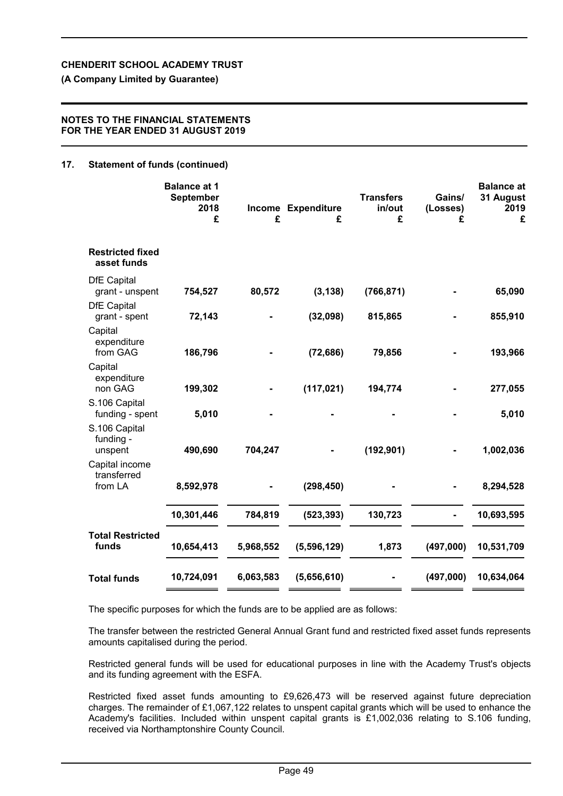**(A Company Limited by Guarantee)**

### **NOTES TO THE FINANCIAL STATEMENTS FOR THE YEAR ENDED 31 AUGUST 2019**

## **17. Statement of funds (continued)**

|                                          | <b>Balance at 1</b><br><b>September</b><br>2018<br>£ | £         | Income Expenditure<br>£ | <b>Transfers</b><br>in/out<br>£ | Gains/<br>(Losses)<br>£ | <b>Balance</b> at<br>31 August<br>2019<br>£ |
|------------------------------------------|------------------------------------------------------|-----------|-------------------------|---------------------------------|-------------------------|---------------------------------------------|
| <b>Restricted fixed</b><br>asset funds   |                                                      |           |                         |                                 |                         |                                             |
| <b>DfE</b> Capital<br>grant - unspent    | 754,527                                              | 80,572    | (3, 138)                | (766, 871)                      |                         | 65,090                                      |
| <b>DfE</b> Capital<br>grant - spent      | 72,143                                               |           | (32,098)                | 815,865                         |                         | 855,910                                     |
| Capital<br>expenditure<br>from GAG       | 186,796                                              |           | (72, 686)               | 79,856                          |                         | 193,966                                     |
| Capital<br>expenditure<br>non GAG        | 199,302                                              |           | (117, 021)              | 194,774                         |                         | 277,055                                     |
| S.106 Capital<br>funding - spent         | 5,010                                                |           |                         |                                 |                         | 5,010                                       |
| S.106 Capital<br>funding -<br>unspent    | 490,690                                              | 704,247   |                         | (192, 901)                      |                         | 1,002,036                                   |
| Capital income<br>transferred<br>from LA | 8,592,978                                            |           | (298, 450)              |                                 |                         | 8,294,528                                   |
|                                          | 10,301,446                                           | 784,819   | (523, 393)              | 130,723                         |                         | 10,693,595                                  |
| <b>Total Restricted</b><br>funds         | 10,654,413                                           | 5,968,552 | (5,596,129)             | 1,873                           | (497,000)               | 10,531,709                                  |
| <b>Total funds</b>                       | 10,724,091                                           | 6,063,583 | (5,656,610)             |                                 | (497,000)               | 10,634,064                                  |

The specific purposes for which the funds are to be applied are as follows:

The transfer between the restricted General Annual Grant fund and restricted fixed asset funds represents amounts capitalised during the period.

Restricted general funds will be used for educational purposes in line with the Academy Trust's objects and its funding agreement with the ESFA.

Restricted fixed asset funds amounting to £9,626,473 will be reserved against future depreciation charges. The remainder of £1,067,122 relates to unspent capital grants which will be used to enhance the Academy's facilities. Included within unspent capital grants is £1,002,036 relating to S.106 funding, received via Northamptonshire County Council.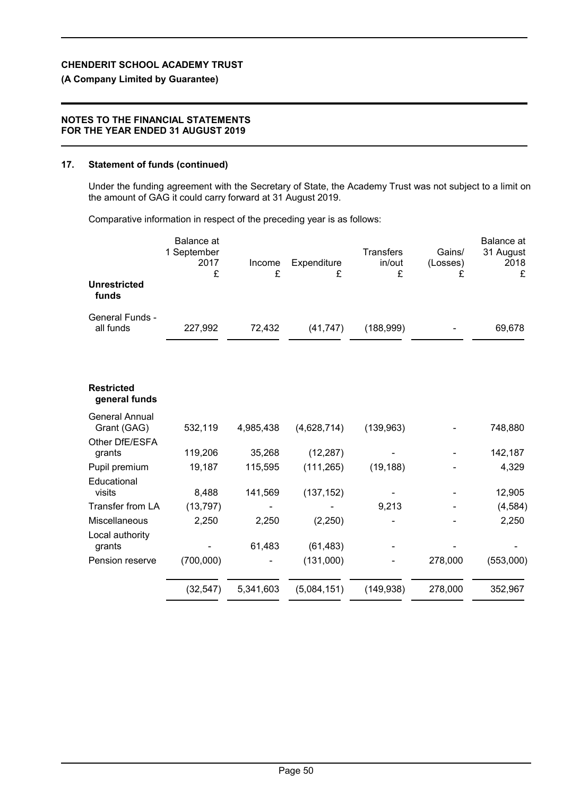## **(A Company Limited by Guarantee)**

### **NOTES TO THE FINANCIAL STATEMENTS FOR THE YEAR ENDED 31 AUGUST 2019**

### **17. Statement of funds (continued)**

Under the funding agreement with the Secretary of State, the Academy Trust was not subject to a limit on the amount of GAG it could carry forward at 31 August 2019.

Comparative information in respect of the preceding year is as follows:

|                                      | <b>Balance</b> at<br>1 September<br>2017<br>£ | Income<br>£ | Expenditure<br>£ | <b>Transfers</b><br>in/out<br>£ | Gains/<br>(Losses)<br>£ | <b>Balance</b> at<br>31 August<br>2018<br>£ |
|--------------------------------------|-----------------------------------------------|-------------|------------------|---------------------------------|-------------------------|---------------------------------------------|
| <b>Unrestricted</b><br>funds         |                                               |             |                  |                                 |                         |                                             |
| General Funds -<br>all funds         | 227,992                                       | 72,432      | (41, 747)        | (188,999)                       |                         | 69,678                                      |
| <b>Restricted</b><br>general funds   |                                               |             |                  |                                 |                         |                                             |
| <b>General Annual</b><br>Grant (GAG) | 532,119                                       | 4,985,438   | (4,628,714)      | (139, 963)                      |                         | 748,880                                     |
| Other DfE/ESFA<br>grants             | 119,206                                       | 35,268      | (12, 287)        |                                 |                         | 142,187                                     |
| Pupil premium<br>Educational         | 19,187                                        | 115,595     | (111, 265)       | (19, 188)                       |                         | 4,329                                       |
| visits                               | 8,488                                         | 141,569     | (137, 152)       |                                 |                         | 12,905                                      |
| Transfer from LA                     | (13, 797)                                     |             |                  | 9,213                           |                         | (4, 584)                                    |
| Miscellaneous                        | 2,250                                         | 2,250       | (2, 250)         |                                 |                         | 2,250                                       |
| Local authority<br>grants            |                                               | 61,483      | (61, 483)        |                                 |                         |                                             |
| Pension reserve                      | (700,000)                                     |             | (131,000)        |                                 | 278,000                 | (553,000)                                   |
|                                      | (32, 547)                                     | 5,341,603   | (5,084,151)      | (149, 938)                      | 278,000                 | 352,967                                     |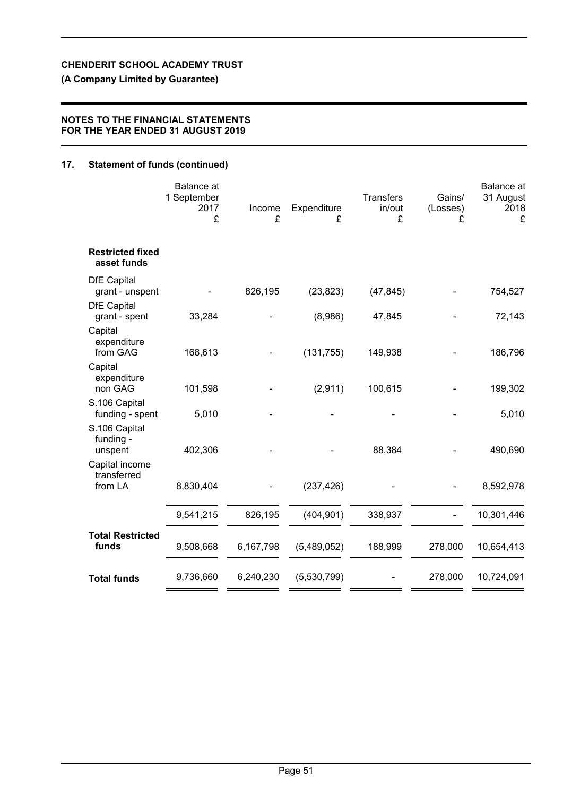**(A Company Limited by Guarantee)**

### **NOTES TO THE FINANCIAL STATEMENTS FOR THE YEAR ENDED 31 AUGUST 2019**

## **17. Statement of funds (continued)**

|                                          | <b>Balance</b> at<br>1 September<br>2017<br>£ | Income<br>£ | Expenditure<br>£ | <b>Transfers</b><br>in/out<br>£ | Gains/<br>(Losses)<br>£ | <b>Balance</b> at<br>31 August<br>2018<br>£ |
|------------------------------------------|-----------------------------------------------|-------------|------------------|---------------------------------|-------------------------|---------------------------------------------|
| <b>Restricted fixed</b><br>asset funds   |                                               |             |                  |                                 |                         |                                             |
| <b>DfE</b> Capital<br>grant - unspent    |                                               | 826,195     | (23, 823)        | (47, 845)                       |                         | 754,527                                     |
| <b>DfE</b> Capital<br>grant - spent      | 33,284                                        |             | (8,986)          | 47,845                          |                         | 72,143                                      |
| Capital<br>expenditure<br>from GAG       | 168,613                                       |             | (131, 755)       | 149,938                         |                         | 186,796                                     |
| Capital<br>expenditure<br>non GAG        | 101,598                                       |             | (2,911)          | 100,615                         |                         | 199,302                                     |
| S.106 Capital<br>funding - spent         | 5,010                                         |             |                  |                                 |                         | 5,010                                       |
| S.106 Capital<br>funding -<br>unspent    | 402,306                                       |             |                  | 88,384                          |                         | 490,690                                     |
| Capital income<br>transferred<br>from LA | 8,830,404                                     |             | (237, 426)       |                                 |                         | 8,592,978                                   |
|                                          | 9,541,215                                     | 826,195     | (404, 901)       | 338,937                         |                         | 10,301,446                                  |
| <b>Total Restricted</b><br>funds         | 9,508,668                                     | 6,167,798   | (5,489,052)      | 188,999                         | 278,000                 | 10,654,413                                  |
| <b>Total funds</b>                       | 9,736,660                                     | 6,240,230   | (5,530,799)      |                                 | 278,000                 | 10,724,091                                  |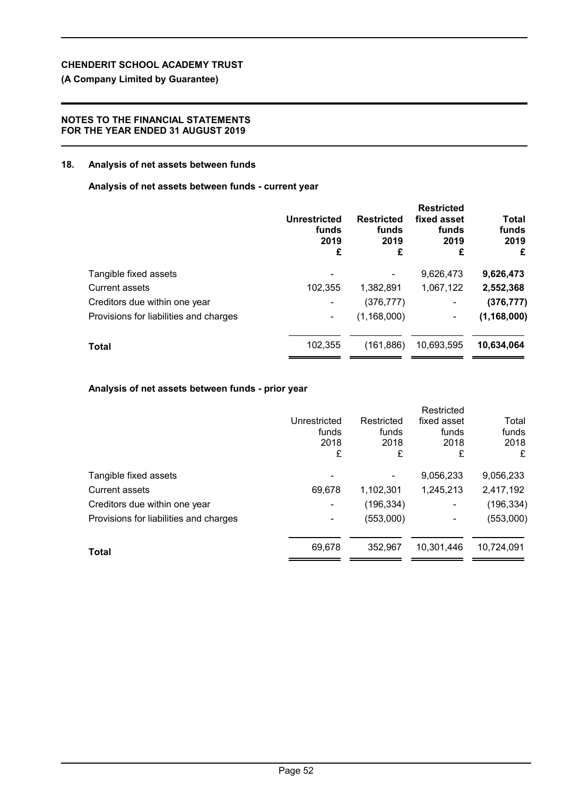## **(A Company Limited by Guarantee)**

### **NOTES TO THE FINANCIAL STATEMENTS FOR THE YEAR ENDED 31 AUGUST 2019**

### **18. Analysis of net assets between funds**

### **Analysis of net assets between funds - current year**

|                                        | Unrestricted<br>funds<br>2019<br>£ | <b>Restricted</b><br>funds<br>2019<br>£ | <b>Restricted</b><br>fixed asset<br>funds<br>2019<br>£ | <b>Total</b><br>funds<br>2019<br>£ |
|----------------------------------------|------------------------------------|-----------------------------------------|--------------------------------------------------------|------------------------------------|
| Tangible fixed assets                  |                                    |                                         | 9,626,473                                              | 9,626,473                          |
| <b>Current assets</b>                  | 102,355                            | 1,382,891                               | 1,067,122                                              | 2,552,368                          |
| Creditors due within one year          |                                    | (376, 777)                              | -                                                      | (376, 777)                         |
| Provisions for liabilities and charges | -                                  | (1, 168, 000)                           |                                                        | (1, 168, 000)                      |
| <b>Total</b>                           | 102,355                            | (161, 886)                              | 10,693,595                                             | 10,634,064                         |
|                                        |                                    |                                         |                                                        |                                    |

## **Analysis of net assets between funds - prior year**

|                                        |              |            | Restricted  |            |
|----------------------------------------|--------------|------------|-------------|------------|
|                                        | Unrestricted | Restricted | fixed asset | Total      |
|                                        | funds        | funds      | funds       | funds      |
|                                        | 2018         | 2018       | 2018        | 2018       |
|                                        | £            | £          | £           | £          |
| Tangible fixed assets                  |              |            | 9,056,233   | 9,056,233  |
| <b>Current assets</b>                  | 69,678       | 1,102,301  | 1,245,213   | 2,417,192  |
| Creditors due within one year          |              | (196, 334) |             | (196, 334) |
| Provisions for liabilities and charges |              | (553,000)  |             | (553,000)  |
|                                        | 69,678       | 352.967    | 10.301.446  | 10,724,091 |
| Total                                  |              |            |             |            |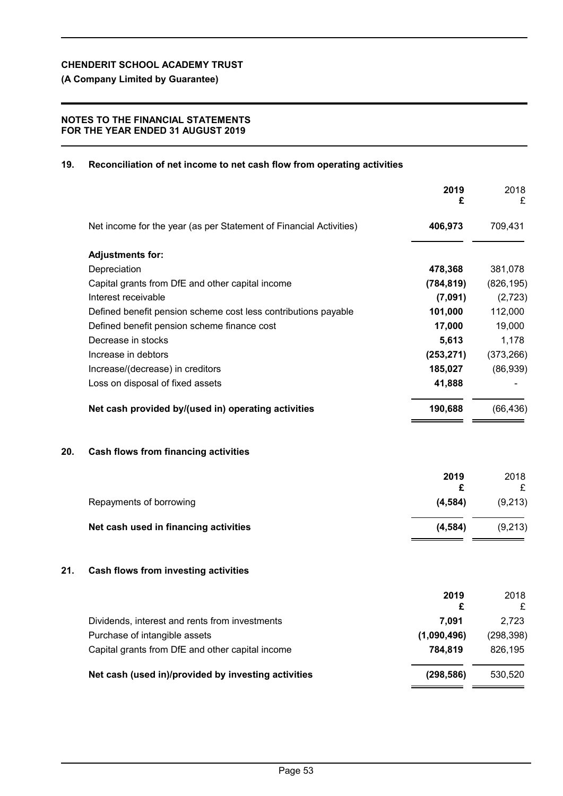**(A Company Limited by Guarantee)**

### **NOTES TO THE FINANCIAL STATEMENTS FOR THE YEAR ENDED 31 AUGUST 2019**

### **19. Reconciliation of net income to net cash flow from operating activities**

|     |                                                                    | 2019<br>£   | 2018<br>£  |
|-----|--------------------------------------------------------------------|-------------|------------|
|     | Net income for the year (as per Statement of Financial Activities) | 406,973     | 709,431    |
|     | <b>Adjustments for:</b>                                            |             |            |
|     | Depreciation                                                       | 478,368     | 381,078    |
|     | Capital grants from DfE and other capital income                   | (784, 819)  | (826, 195) |
|     | Interest receivable                                                | (7,091)     | (2, 723)   |
|     | Defined benefit pension scheme cost less contributions payable     | 101,000     | 112,000    |
|     | Defined benefit pension scheme finance cost                        | 17,000      | 19,000     |
|     | Decrease in stocks                                                 | 5,613       | 1,178      |
|     | Increase in debtors                                                | (253, 271)  | (373, 266) |
|     | Increase/(decrease) in creditors                                   | 185,027     | (86, 939)  |
|     | Loss on disposal of fixed assets                                   | 41,888      |            |
|     | Net cash provided by/(used in) operating activities                | 190,688     | (66, 436)  |
| 20. | <b>Cash flows from financing activities</b>                        |             |            |
|     |                                                                    | 2019<br>£   | 2018<br>£  |
|     | Repayments of borrowing                                            | (4, 584)    | (9,213)    |
|     | Net cash used in financing activities                              | (4, 584)    | (9, 213)   |
| 21. | Cash flows from investing activities                               |             |            |
|     |                                                                    | 2019        | 2018<br>£  |
|     | Dividends, interest and rents from investments                     | 7,091       | 2,723      |
|     | Purchase of intangible assets                                      | (1,090,496) | (298, 398) |
|     | Capital grants from DfE and other capital income                   | 784,819     | 826,195    |
|     | Net cash (used in)/provided by investing activities                | (298, 586)  | 530,520    |
|     |                                                                    |             |            |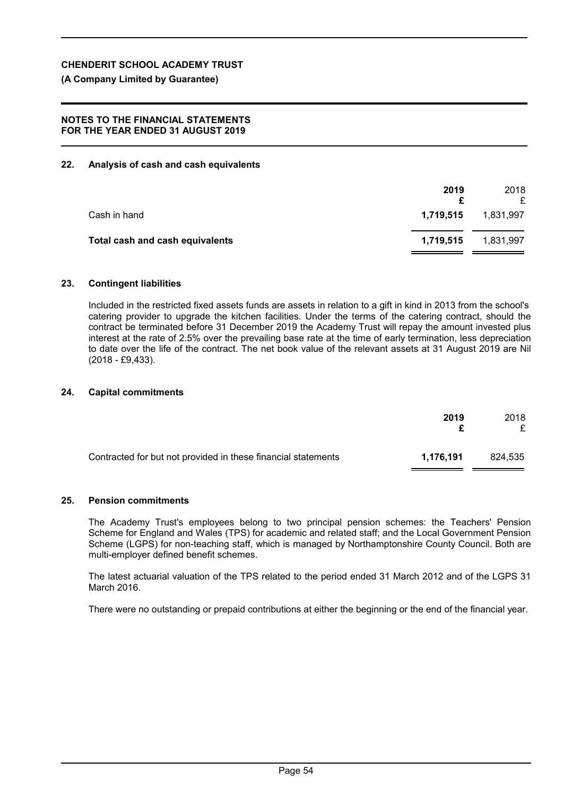**(A Company Limited by Guarantee)**

### **NOTES TO THE FINANCIAL STATEMENTS FOR THE YEAR ENDED 31 AUGUST 2019**

## **22. Analysis of cash and cash equivalents**

| 2019      | 2018<br>£ |
|-----------|-----------|
| 1,719,515 | 1,831,997 |
| 1,719,515 | 1,831,997 |
|           |           |

### **23. Contingent liabilities**

Included in the restricted fixed assets funds are assets in relation to a gift in kind in 2013 from the school's catering provider to upgrade the kitchen facilities. Under the terms of the catering contract, should the contract be terminated before 31 December 2019 the Academy Trust will repay the amount invested plus interest at the rate of 2.5% over the prevailing base rate at the time of early termination, less depreciation to date over the life of the contract. The net book value of the relevant assets at 31 August 2019 are Nil (2018 - £9,433).

### **24. Capital commitments**

|                                                               | 2019      | 2018<br>£ |
|---------------------------------------------------------------|-----------|-----------|
| Contracted for but not provided in these financial statements | 1.176.191 | 824.535   |

### **25. Pension commitments**

The Academy Trust's employees belong to two principal pension schemes: the Teachers' Pension Scheme for England and Wales (TPS) for academic and related staff; and the Local Government Pension Scheme (LGPS) for non-teaching staff, which is managed by Northamptonshire County Council. Both are multi-employer defined benefit schemes.

The latest actuarial valuation of the TPS related to the period ended 31 March 2012 and of the LGPS 31 March 2016.

There were no outstanding or prepaid contributions at either the beginning or the end of the financial year.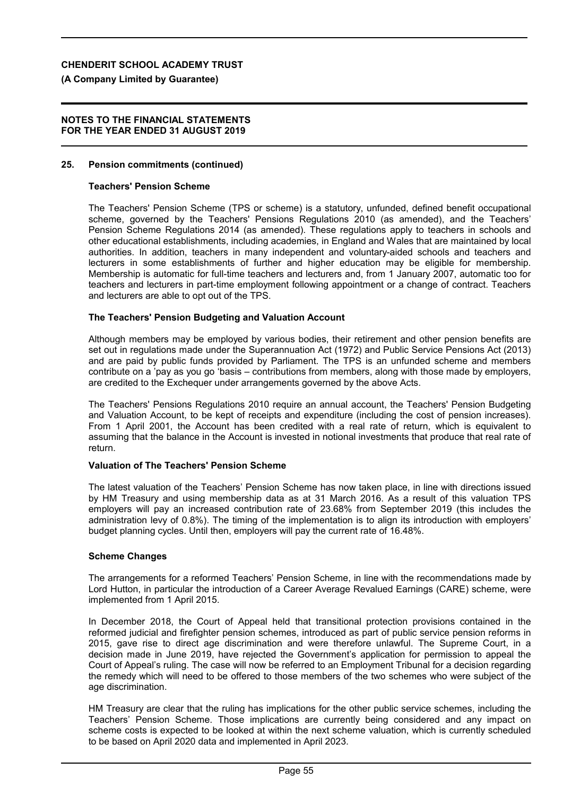**(A Company Limited by Guarantee)**

#### **NOTES TO THE FINANCIAL STATEMENTS FOR THE YEAR ENDED 31 AUGUST 2019**

#### **25. Pension commitments (continued)**

#### **Teachers' Pension Scheme**

The Teachers' Pension Scheme (TPS or scheme) is a statutory, unfunded, defined benefit occupational scheme, governed by the Teachers' Pensions Regulations 2010 (as amended), and the Teachers' Pension Scheme Regulations 2014 (as amended). These regulations apply to teachers in schools and other educational establishments, including academies, in England and Wales that are maintained by local authorities. In addition, teachers in many independent and voluntary-aided schools and teachers and lecturers in some establishments of further and higher education may be eligible for membership. Membership is automatic for full-time teachers and lecturers and, from 1 January 2007, automatic too for teachers and lecturers in part-time employment following appointment or a change of contract. Teachers and lecturers are able to opt out of the TPS.

#### **The Teachers' Pension Budgeting and Valuation Account**

Although members may be employed by various bodies, their retirement and other pension benefits are set out in regulations made under the Superannuation Act (1972) and Public Service Pensions Act (2013) and are paid by public funds provided by Parliament. The TPS is an unfunded scheme and members contribute on a 'pay as you go 'basis – contributions from members, along with those made by employers, are credited to the Exchequer under arrangements governed by the above Acts.

The Teachers' Pensions Regulations 2010 require an annual account, the Teachers' Pension Budgeting and Valuation Account, to be kept of receipts and expenditure (including the cost of pension increases). From 1 April 2001, the Account has been credited with a real rate of return, which is equivalent to assuming that the balance in the Account is invested in notional investments that produce that real rate of return.

### **Valuation of The Teachers' Pension Scheme**

The latest valuation of the Teachers' Pension Scheme has now taken place, in line with directions issued by HM Treasury and using membership data as at 31 March 2016. As a result of this valuation TPS employers will pay an increased contribution rate of 23.68% from September 2019 (this includes the administration levy of 0.8%). The timing of the implementation is to align its introduction with employers' budget planning cycles. Until then, employers will pay the current rate of 16.48%.

### **Scheme Changes**

The arrangements for a reformed Teachers' Pension Scheme, in line with the recommendations made by Lord Hutton, in particular the introduction of a Career Average Revalued Earnings (CARE) scheme, were implemented from 1 April 2015.

In December 2018, the Court of Appeal held that transitional protection provisions contained in the reformed judicial and firefighter pension schemes, introduced as part of public service pension reforms in 2015, gave rise to direct age discrimination and were therefore unlawful. The Supreme Court, in a decision made in June 2019, have rejected the Government's application for permission to appeal the Court of Appeal's ruling. The case will now be referred to an Employment Tribunal for a decision regarding the remedy which will need to be offered to those members of the two schemes who were subject of the age discrimination.

HM Treasury are clear that the ruling has implications for the other public service schemes, including the Teachers' Pension Scheme. Those implications are currently being considered and any impact on scheme costs is expected to be looked at within the next scheme valuation, which is currently scheduled to be based on April 2020 data and implemented in April 2023.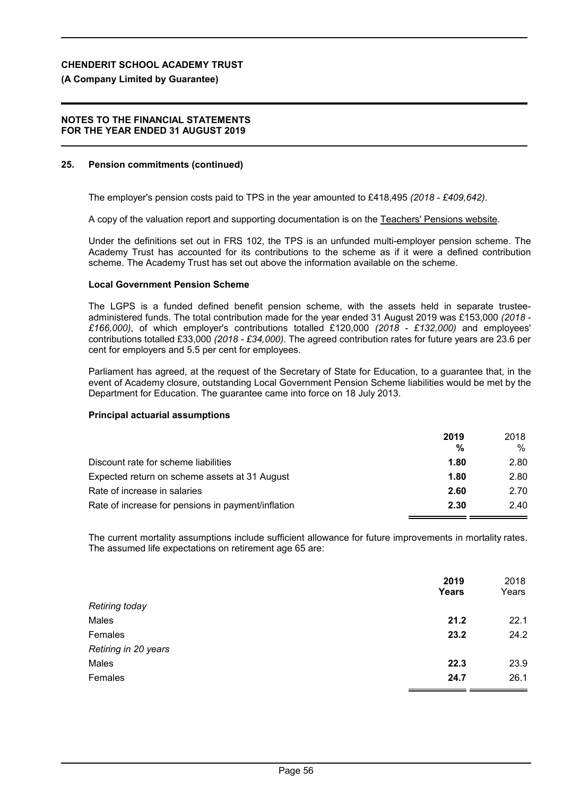## **(A Company Limited by Guarantee)**

### **NOTES TO THE FINANCIAL STATEMENTS FOR THE YEAR ENDED 31 AUGUST 2019**

## **25. Pension commitments (continued)**

The employer's pension costs paid to TPS in the year amounted to £418,495 *(2018 - £409,642)*.

A copy of the valuation report and supporting documentation is on the Teachers' Pensions website.

Under the definitions set out in FRS 102, the TPS is an unfunded multi-employer pension scheme. The Academy Trust has accounted for its contributions to the scheme as if it were a defined contribution scheme. The Academy Trust has set out above the information available on the scheme.

## **Local Government Pension Scheme**

The LGPS is a funded defined benefit pension scheme, with the assets held in separate trusteeadministered funds. The total contribution made for the year ended 31 August 2019 was £153,000 *(2018 - £166,000)*, of which employer's contributions totalled £120,000 *(2018 - £132,000)* and employees' contributions totalled £33,000 *(2018 - £34,000)*. The agreed contribution rates for future years are 23.6 per cent for employers and 5.5 per cent for employees.

Parliament has agreed, at the request of the Secretary of State for Education, to a guarantee that, in the event of Academy closure, outstanding Local Government Pension Scheme liabilities would be met by the Department for Education. The guarantee came into force on 18 July 2013.

### **Principal actuarial assumptions**

|                                                    | 2019<br>% | 2018<br>% |
|----------------------------------------------------|-----------|-----------|
| Discount rate for scheme liabilities               | 1.80      | 2.80      |
| Expected return on scheme assets at 31 August      | 1.80      | 2.80      |
| Rate of increase in salaries                       | 2.60      | 2.70      |
| Rate of increase for pensions in payment/inflation | 2.30      | 2.40      |

The current mortality assumptions include sufficient allowance for future improvements in mortality rates. The assumed life expectations on retirement age 65 are:

|                       | 2019<br>Years | 2018<br>Years |
|-----------------------|---------------|---------------|
| <b>Retiring today</b> |               |               |
| Males                 | 21.2          | 22.1          |
| Females               | 23.2          | 24.2          |
| Retiring in 20 years  |               |               |
| Males                 | 22.3          | 23.9          |
| Females               | 24.7          | 26.1          |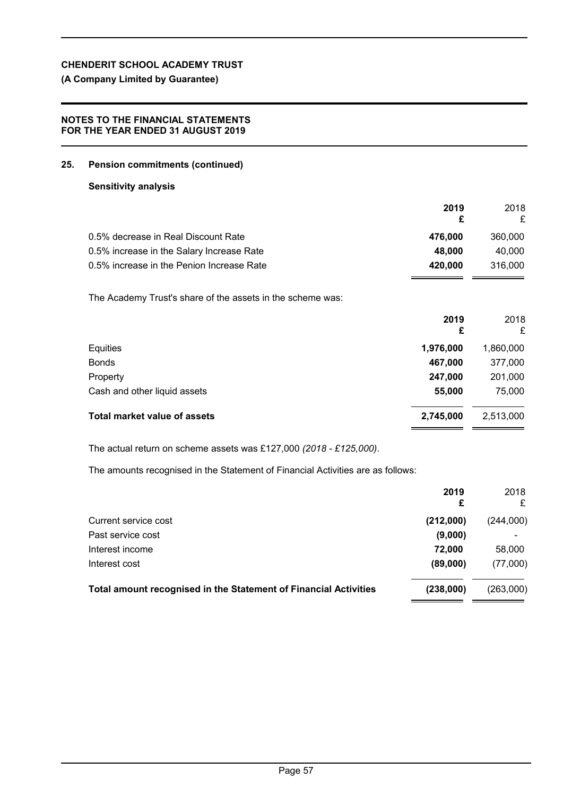**(A Company Limited by Guarantee)**

### **NOTES TO THE FINANCIAL STATEMENTS FOR THE YEAR ENDED 31 AUGUST 2019**

### **25. Pension commitments (continued)**

### **Sensitivity analysis**

|                                           | 2019    | 2018<br>£ |
|-------------------------------------------|---------|-----------|
| 0.5% decrease in Real Discount Rate       | 476.000 | 360,000   |
| 0.5% increase in the Salary Increase Rate | 48.000  | 40.000    |
| 0.5% increase in the Penion Increase Rate | 420,000 | 316,000   |

The Academy Trust's share of the assets in the scheme was:

|                                     | 2019<br>£ | 2018<br>£ |
|-------------------------------------|-----------|-----------|
| Equities                            | 1,976,000 | 1,860,000 |
| <b>Bonds</b>                        | 467,000   | 377,000   |
| Property                            | 247,000   | 201,000   |
| Cash and other liquid assets        | 55,000    | 75,000    |
| <b>Total market value of assets</b> | 2,745,000 | 2,513,000 |

The actual return on scheme assets was £127,000 *(2018 - £125,000)*.

The amounts recognised in the Statement of Financial Activities are as follows:

|                                                                  | 2019<br>£ | 2018<br>£ |
|------------------------------------------------------------------|-----------|-----------|
| Current service cost                                             | (212,000) | (244,000) |
| Past service cost                                                | (9,000)   |           |
| Interest income                                                  | 72.000    | 58,000    |
| Interest cost                                                    | (89,000)  | (77,000)  |
| Total amount recognised in the Statement of Financial Activities | (238,000) | (263,000) |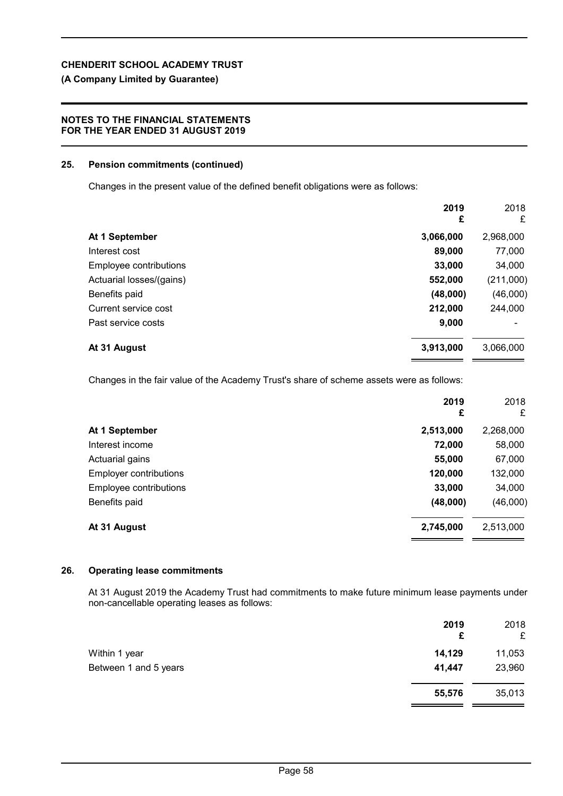## **(A Company Limited by Guarantee)**

### **NOTES TO THE FINANCIAL STATEMENTS FOR THE YEAR ENDED 31 AUGUST 2019**

### **25. Pension commitments (continued)**

Changes in the present value of the defined benefit obligations were as follows:

|                          | 2019<br>£ | 2018<br>£ |
|--------------------------|-----------|-----------|
| At 1 September           | 3,066,000 | 2,968,000 |
| Interest cost            | 89,000    | 77,000    |
| Employee contributions   | 33,000    | 34,000    |
| Actuarial losses/(gains) | 552,000   | (211,000) |
| Benefits paid            | (48,000)  | (46,000)  |
| Current service cost     | 212,000   | 244,000   |
| Past service costs       | 9,000     |           |
| At 31 August             | 3,913,000 | 3,066,000 |

Changes in the fair value of the Academy Trust's share of scheme assets were as follows:

|                               | 2019<br>£ | 2018<br>£ |
|-------------------------------|-----------|-----------|
| At 1 September                | 2,513,000 | 2,268,000 |
| Interest income               | 72,000    | 58,000    |
| Actuarial gains               | 55,000    | 67,000    |
| <b>Employer contributions</b> | 120,000   | 132,000   |
| Employee contributions        | 33,000    | 34,000    |
| Benefits paid                 | (48,000)  | (46,000)  |
| At 31 August                  | 2,745,000 | 2,513,000 |

### **26. Operating lease commitments**

At 31 August 2019 the Academy Trust had commitments to make future minimum lease payments under non-cancellable operating leases as follows:

|                       | 2019<br>£ | 2018<br>£ |
|-----------------------|-----------|-----------|
| Within 1 year         | 14,129    | 11,053    |
| Between 1 and 5 years | 41,447    | 23,960    |
|                       | 55,576    | 35,013    |